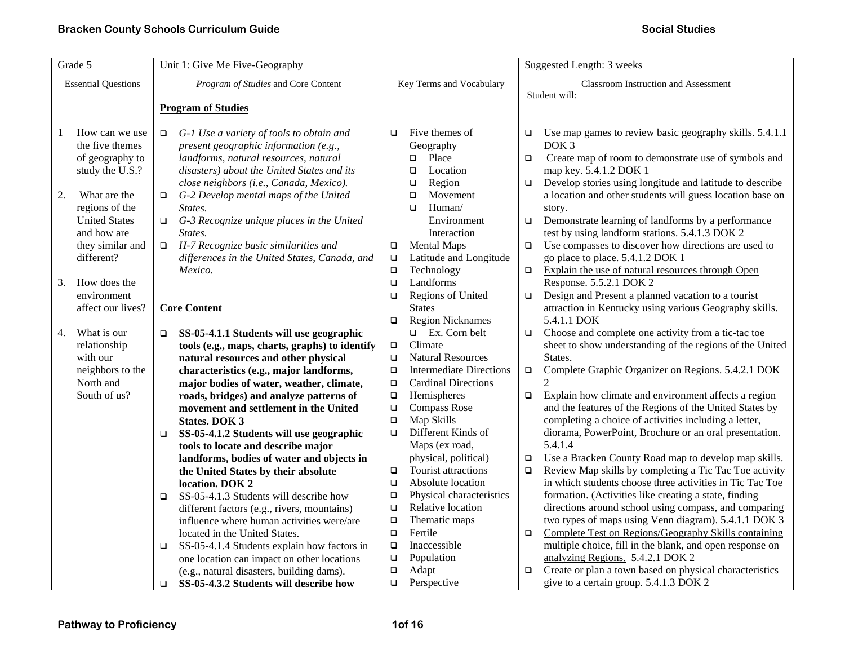| Grade 5                    |                      | Unit 1: Give Me Five-Geography                         |                          |                                             | Suggested Length: 3 weeks |                                                                   |  |
|----------------------------|----------------------|--------------------------------------------------------|--------------------------|---------------------------------------------|---------------------------|-------------------------------------------------------------------|--|
| <b>Essential Questions</b> |                      | Program of Studies and Core Content                    | Key Terms and Vocabulary |                                             |                           | <b>Classroom Instruction and Assessment</b>                       |  |
|                            |                      | <b>Program of Studies</b>                              |                          |                                             |                           | Student will:                                                     |  |
|                            |                      |                                                        |                          |                                             |                           |                                                                   |  |
|                            | How can we use       | G-1 Use a variety of tools to obtain and<br>$\Box$     | $\Box$                   | Five themes of                              | $\Box$                    | Use map games to review basic geography skills. 5.4.1.1           |  |
|                            | the five themes      | present geographic information (e.g.,                  |                          | Geography                                   |                           | DOK <sub>3</sub>                                                  |  |
|                            | of geography to      | landforms, natural resources, natural                  |                          | Place<br>o.                                 | $\Box$                    | Create map of room to demonstrate use of symbols and              |  |
|                            | study the U.S.?      | disasters) about the United States and its             |                          | Location<br>$\Box$                          |                           | map key. 5.4.1.2 DOK 1                                            |  |
|                            |                      | close neighbors (i.e., Canada, Mexico).                |                          | Region<br>$\Box$                            | $\Box$                    | Develop stories using longitude and latitude to describe          |  |
| 2.                         | What are the         | G-2 Develop mental maps of the United<br>$\Box$        |                          | Movement<br>$\Box$                          |                           | a location and other students will guess location base on         |  |
|                            | regions of the       | States.                                                |                          | Human/<br>$\Box$                            |                           | story.                                                            |  |
|                            | <b>United States</b> | G-3 Recognize unique places in the United<br>$\Box$    |                          | Environment                                 | $\Box$                    | Demonstrate learning of landforms by a performance                |  |
|                            | and how are          | States.                                                |                          | Interaction                                 |                           | test by using landform stations. 5.4.1.3 DOK 2                    |  |
|                            | they similar and     | $\Box$ H-7 Recognize basic similarities and            | $\Box$                   | <b>Mental Maps</b>                          | $\Box$                    | Use compasses to discover how directions are used to              |  |
|                            | different?           | differences in the United States, Canada, and          | $\Box$                   | Latitude and Longitude                      |                           | go place to place. 5.4.1.2 DOK 1                                  |  |
|                            |                      | Mexico.                                                | $\Box$                   | Technology                                  | $\Box$                    | Explain the use of natural resources through Open                 |  |
| 3.                         | How does the         |                                                        | $\Box$                   | Landforms                                   |                           | Response. 5.5.2.1 DOK 2                                           |  |
|                            | environment          |                                                        | $\Box$                   | Regions of United                           | $\Box$                    | Design and Present a planned vacation to a tourist                |  |
|                            | affect our lives?    | <b>Core Content</b>                                    |                          | <b>States</b>                               |                           | attraction in Kentucky using various Geography skills.            |  |
|                            |                      |                                                        | $\Box$                   | <b>Region Nicknames</b>                     |                           | 5.4.1.1 DOK                                                       |  |
| 4.                         | What is our          | SS-05-4.1.1 Students will use geographic<br>$\Box$     |                          | $\Box$ Ex. Corn belt                        | $\Box$                    | Choose and complete one activity from a tic-tac toe               |  |
|                            | relationship         | tools (e.g., maps, charts, graphs) to identify         | $\Box$                   | Climate                                     |                           | sheet to show understanding of the regions of the United          |  |
|                            | with our             | natural resources and other physical                   | $\Box$                   | <b>Natural Resources</b>                    |                           | States.                                                           |  |
|                            | neighbors to the     | characteristics (e.g., major landforms,                | $\Box$                   | <b>Intermediate Directions</b>              | $\Box$                    | Complete Graphic Organizer on Regions. 5.4.2.1 DOK                |  |
|                            | North and            | major bodies of water, weather, climate,               | $\Box$                   | <b>Cardinal Directions</b>                  |                           | 2                                                                 |  |
|                            | South of us?         | roads, bridges) and analyze patterns of                | $\Box$                   | Hemispheres                                 | $\Box$                    | Explain how climate and environment affects a region              |  |
|                            |                      | movement and settlement in the United                  | $\Box$                   | <b>Compass Rose</b>                         |                           | and the features of the Regions of the United States by           |  |
|                            |                      | <b>States. DOK 3</b>                                   | $\Box$                   | Map Skills<br>Different Kinds of            |                           | completing a choice of activities including a letter,             |  |
|                            |                      | SS-05-4.1.2 Students will use geographic<br>$\Box$     | $\Box$                   |                                             |                           | diorama, PowerPoint, Brochure or an oral presentation.<br>5.4.1.4 |  |
|                            |                      | tools to locate and describe major                     |                          | Maps (ex road,                              |                           | Use a Bracken County Road map to develop map skills.              |  |
|                            |                      | landforms, bodies of water and objects in              | $\Box$                   | physical, political)<br>Tourist attractions | $\Box$<br>$\Box$          | Review Map skills by completing a Tic Tac Toe activity            |  |
|                            |                      | the United States by their absolute<br>location. DOK 2 | $\Box$                   | Absolute location                           |                           | in which students choose three activities in Tic Tac Toe          |  |
|                            |                      | SS-05-4.1.3 Students will describe how<br>$\Box$       | $\Box$                   | Physical characteristics                    |                           | formation. (Activities like creating a state, finding             |  |
|                            |                      | different factors (e.g., rivers, mountains)            | $\Box$                   | Relative location                           |                           | directions around school using compass, and comparing             |  |
|                            |                      | influence where human activities were/are              | $\Box$                   | Thematic maps                               |                           | two types of maps using Venn diagram). 5.4.1.1 DOK 3              |  |
|                            |                      | located in the United States.                          | $\Box$                   | Fertile                                     | $\Box$                    | Complete Test on Regions/Geography Skills containing              |  |
|                            |                      | SS-05-4.1.4 Students explain how factors in<br>$\Box$  | $\Box$                   | Inaccessible                                |                           | multiple choice, fill in the blank, and open response on          |  |
|                            |                      | one location can impact on other locations             | $\Box$                   | Population                                  |                           | analyzing Regions. 5.4.2.1 DOK 2                                  |  |
|                            |                      | (e.g., natural disasters, building dams).              | $\Box$                   | Adapt                                       | $\Box$                    | Create or plan a town based on physical characteristics           |  |
|                            |                      | SS-05-4.3.2 Students will describe how<br>$\Box$       | $\Box$                   | Perspective                                 |                           | give to a certain group. 5.4.1.3 DOK 2                            |  |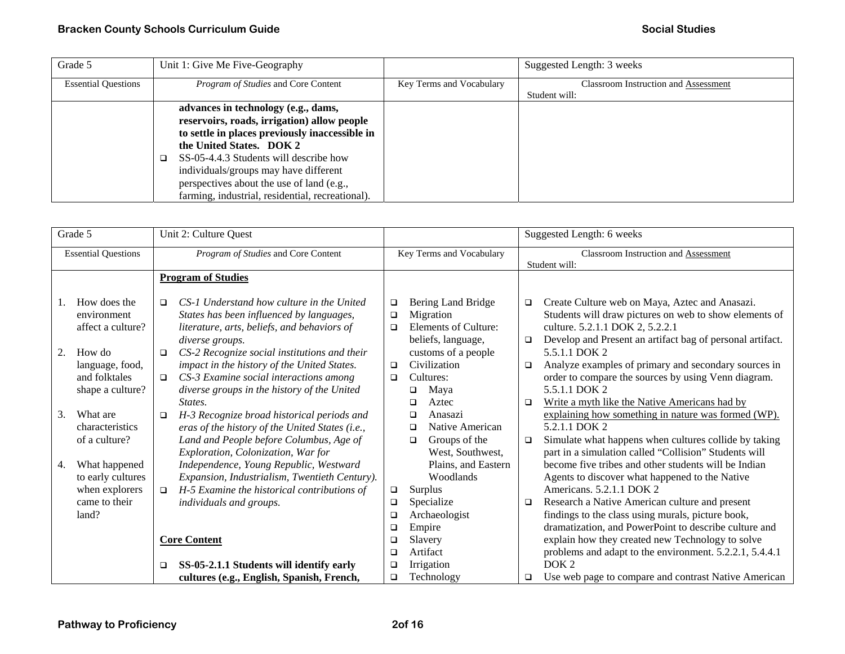| Grade 5                    | Unit 1: Give Me Five-Geography                   |                          | Suggested Length: 3 weeks                   |
|----------------------------|--------------------------------------------------|--------------------------|---------------------------------------------|
| <b>Essential Questions</b> | <i>Program of Studies</i> and Core Content       | Key Terms and Vocabulary | <b>Classroom Instruction and Assessment</b> |
|                            |                                                  |                          | Student will:                               |
|                            | advances in technology (e.g., dams,              |                          |                                             |
|                            | reservoirs, roads, irrigation) allow people      |                          |                                             |
|                            | to settle in places previously inaccessible in   |                          |                                             |
|                            | the United States. DOK 2                         |                          |                                             |
|                            | SS-05-4.4.3 Students will describe how           |                          |                                             |
|                            | individuals/groups may have different            |                          |                                             |
|                            | perspectives about the use of land (e.g.,        |                          |                                             |
|                            | farming, industrial, residential, recreational). |                          |                                             |

| Grade 5        |                            | Unit 2: Culture Quest                                  |                  |                          | Suggested Length: 6 weeks |                                                                             |
|----------------|----------------------------|--------------------------------------------------------|------------------|--------------------------|---------------------------|-----------------------------------------------------------------------------|
|                | <b>Essential Questions</b> | Program of Studies and Core Content                    |                  | Key Terms and Vocabulary |                           | Classroom Instruction and Assessment                                        |
|                |                            |                                                        |                  |                          |                           | Student will:                                                               |
|                |                            | <b>Program of Studies</b>                              |                  |                          |                           |                                                                             |
|                | How does the               | CS-1 Understand how culture in the United<br>$\Box$    | $\Box$           | Bering Land Bridge       | $\Box$                    | Create Culture web on Maya, Aztec and Anasazi.                              |
|                | environment                | States has been influenced by languages,               | $\Box$           | Migration                |                           | Students will draw pictures on web to show elements of                      |
|                | affect a culture?          | literature, arts, beliefs, and behaviors of            | $\Box$           | Elements of Culture:     |                           | culture. 5.2.1.1 DOK 2, 5.2.2.1                                             |
|                |                            | diverse groups.                                        |                  | beliefs, language,       | $\Box$                    | Develop and Present an artifact bag of personal artifact.                   |
| 2.<br>How do   |                            | CS-2 Recognize social institutions and their<br>$\Box$ |                  | customs of a people      |                           | 5.5.1.1 DOK 2                                                               |
|                | language, food,            | impact in the history of the United States.            | $\Box$           | Civilization             | ❏                         | Analyze examples of primary and secondary sources in                        |
|                | and folktales              | CS-3 Examine social interactions among<br>$\Box$       | □                | Cultures:                |                           | order to compare the sources by using Venn diagram.                         |
|                | shape a culture?           | diverse groups in the history of the United            |                  | Maya<br>❏                |                           | 5.5.1.1 DOK 2                                                               |
|                |                            | States.                                                |                  | Aztec<br>□               | □                         | Write a myth like the Native Americans had by                               |
| 3.<br>What are |                            | H-3 Recognize broad historical periods and<br>$\Box$   |                  | Anasazi<br>□             |                           | explaining how something in nature was formed (WP).                         |
|                | characteristics            | eras of the history of the United States (i.e.,        |                  | Native American<br>□     |                           | 5.2.1.1 DOK 2                                                               |
|                | of a culture?              | Land and People before Columbus, Age of                |                  | Groups of the<br>□       | $\Box$                    | Simulate what happens when cultures collide by taking                       |
|                |                            | Exploration, Colonization, War for                     |                  | West, Southwest,         |                           | part in a simulation called "Collision" Students will                       |
| 4.             | What happened              | Independence, Young Republic, Westward                 |                  | Plains, and Eastern      |                           | become five tribes and other students will be Indian                        |
|                | to early cultures          | Expansion, Industrialism, Twentieth Century).          |                  | Woodlands                |                           | Agents to discover what happened to the Native                              |
|                | when explorers             | H-5 Examine the historical contributions of            | □                | Surplus                  |                           | Americans. 5.2.1.1 DOK 2                                                    |
|                | came to their              | <i>individuals and groups.</i>                         | $\Box$           | Specialize               | □                         | Research a Native American culture and present                              |
| land?          |                            |                                                        | □                | Archaeologist            |                           | findings to the class using murals, picture book,                           |
|                |                            |                                                        | □                | Empire                   |                           | dramatization, and PowerPoint to describe culture and                       |
|                |                            | <b>Core Content</b>                                    | ❏                | Slavery<br>Artifact      |                           | explain how they created new Technology to solve                            |
|                |                            |                                                        | $\Box$           |                          |                           | problems and adapt to the environment. 5.2.2.1, 5.4.4.1<br>DOK <sub>2</sub> |
|                |                            | SS-05-2.1.1 Students will identify early<br>□          | $\Box$<br>$\Box$ | Irrigation               |                           |                                                                             |
|                |                            | cultures (e.g., English, Spanish, French,              |                  | Technology               | o.                        | Use web page to compare and contrast Native American                        |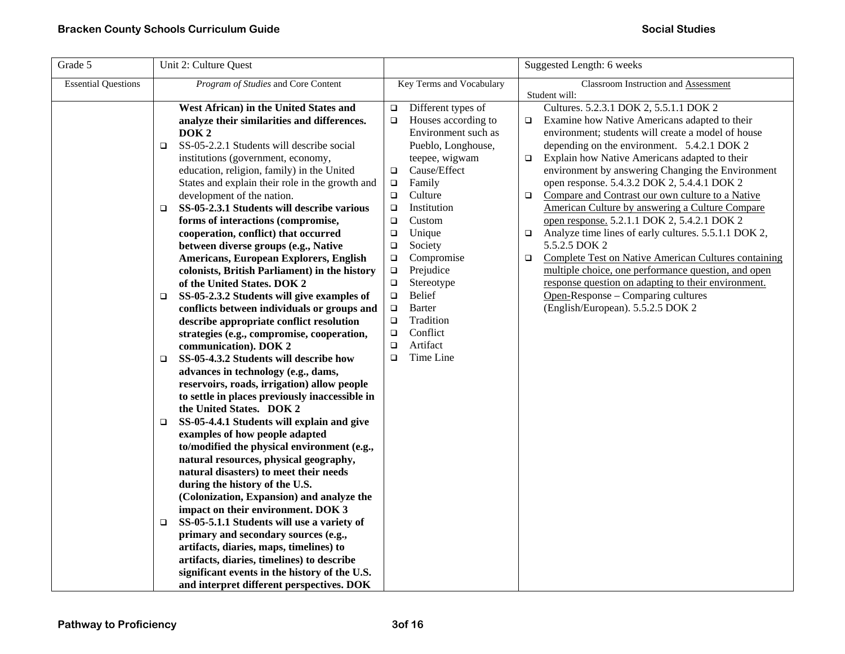| Grade 5                    | Unit 2: Culture Quest                                                                                                                                                                                                                                                                                                                                                                                                                                                                                                                                                                                                                                                                                                                                                                                                                                                                                                                                                                                                                                                                                                                                                                                                                                                                                                                                                                                                                                                                                                                                                                                                  |                                                                                                                                                                                                                                                                                                                                                                                                                                                                                                | Suggested Length: 6 weeks                                                                                                                                                                                                                                                                                                                                                                                                                                                                                                                                                                                                                                                                                                                                                                                                                                                                              |
|----------------------------|------------------------------------------------------------------------------------------------------------------------------------------------------------------------------------------------------------------------------------------------------------------------------------------------------------------------------------------------------------------------------------------------------------------------------------------------------------------------------------------------------------------------------------------------------------------------------------------------------------------------------------------------------------------------------------------------------------------------------------------------------------------------------------------------------------------------------------------------------------------------------------------------------------------------------------------------------------------------------------------------------------------------------------------------------------------------------------------------------------------------------------------------------------------------------------------------------------------------------------------------------------------------------------------------------------------------------------------------------------------------------------------------------------------------------------------------------------------------------------------------------------------------------------------------------------------------------------------------------------------------|------------------------------------------------------------------------------------------------------------------------------------------------------------------------------------------------------------------------------------------------------------------------------------------------------------------------------------------------------------------------------------------------------------------------------------------------------------------------------------------------|--------------------------------------------------------------------------------------------------------------------------------------------------------------------------------------------------------------------------------------------------------------------------------------------------------------------------------------------------------------------------------------------------------------------------------------------------------------------------------------------------------------------------------------------------------------------------------------------------------------------------------------------------------------------------------------------------------------------------------------------------------------------------------------------------------------------------------------------------------------------------------------------------------|
| <b>Essential Questions</b> | Program of Studies and Core Content                                                                                                                                                                                                                                                                                                                                                                                                                                                                                                                                                                                                                                                                                                                                                                                                                                                                                                                                                                                                                                                                                                                                                                                                                                                                                                                                                                                                                                                                                                                                                                                    | Key Terms and Vocabulary                                                                                                                                                                                                                                                                                                                                                                                                                                                                       | Classroom Instruction and Assessment                                                                                                                                                                                                                                                                                                                                                                                                                                                                                                                                                                                                                                                                                                                                                                                                                                                                   |
|                            | West African) in the United States and<br>analyze their similarities and differences.<br>DOK <sub>2</sub><br>SS-05-2.2.1 Students will describe social<br>□<br>institutions (government, economy,<br>education, religion, family) in the United<br>States and explain their role in the growth and<br>development of the nation.<br>SS-05-2.3.1 Students will describe various<br>$\Box$<br>forms of interactions (compromise,<br>cooperation, conflict) that occurred<br>between diverse groups (e.g., Native<br>Americans, European Explorers, English<br>colonists, British Parliament) in the history<br>of the United States. DOK 2<br>SS-05-2.3.2 Students will give examples of<br>□<br>conflicts between individuals or groups and<br>describe appropriate conflict resolution<br>strategies (e.g., compromise, cooperation,<br>communication). DOK 2<br>SS-05-4.3.2 Students will describe how<br>$\Box$<br>advances in technology (e.g., dams,<br>reservoirs, roads, irrigation) allow people<br>to settle in places previously inaccessible in<br>the United States. DOK 2<br>SS-05-4.4.1 Students will explain and give<br>□<br>examples of how people adapted<br>to/modified the physical environment (e.g.,<br>natural resources, physical geography,<br>natural disasters) to meet their needs<br>during the history of the U.S.<br>(Colonization, Expansion) and analyze the<br>impact on their environment. DOK 3<br>SS-05-5.1.1 Students will use a variety of<br>□<br>primary and secondary sources (e.g.,<br>artifacts, diaries, maps, timelines) to<br>artifacts, diaries, timelines) to describe | Different types of<br>$\Box$<br>Houses according to<br>$\Box$<br>Environment such as<br>Pueblo, Longhouse,<br>teepee, wigwam<br>Cause/Effect<br>$\Box$<br>Family<br>$\Box$<br>Culture<br>$\Box$<br>Institution<br>$\Box$<br>Custom<br>$\Box$<br>Unique<br>$\Box$<br>Society<br>$\Box$<br>Compromise<br>$\Box$<br>Prejudice<br>$\Box$<br>Stereotype<br>$\Box$<br>Belief<br>$\Box$<br>Barter<br>$\Box$<br>Tradition<br>$\Box$<br>Conflict<br>$\Box$<br>$\Box$<br>Artifact<br>Time Line<br>$\Box$ | Student will:<br>Cultures. 5.2.3.1 DOK 2, 5.5.1.1 DOK 2<br>Examine how Native Americans adapted to their<br>□<br>environment; students will create a model of house<br>depending on the environment. 5.4.2.1 DOK 2<br>Explain how Native Americans adapted to their<br>$\Box$<br>environment by answering Changing the Environment<br>open response. 5.4.3.2 DOK 2, 5.4.4.1 DOK 2<br>Compare and Contrast our own culture to a Native<br>$\Box$<br>American Culture by answering a Culture Compare<br>open response. 5.2.1.1 DOK 2, 5.4.2.1 DOK 2<br>Analyze time lines of early cultures. 5.5.1.1 DOK 2,<br>$\Box$<br>5.5.2.5 DOK 2<br><b>Complete Test on Native American Cultures containing</b><br>$\Box$<br>multiple choice, one performance question, and open<br>response question on adapting to their environment.<br>Open-Response – Comparing cultures<br>(English/European). 5.5.2.5 DOK 2 |
|                            | significant events in the history of the U.S.<br>and interpret different perspectives. DOK                                                                                                                                                                                                                                                                                                                                                                                                                                                                                                                                                                                                                                                                                                                                                                                                                                                                                                                                                                                                                                                                                                                                                                                                                                                                                                                                                                                                                                                                                                                             |                                                                                                                                                                                                                                                                                                                                                                                                                                                                                                |                                                                                                                                                                                                                                                                                                                                                                                                                                                                                                                                                                                                                                                                                                                                                                                                                                                                                                        |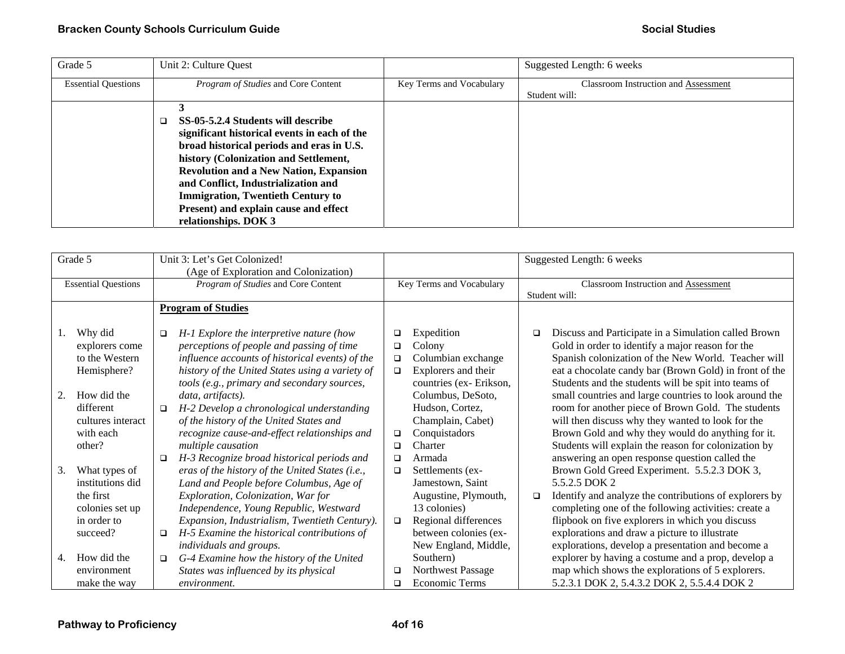| Grade 5                    | Unit 2: Culture Quest                                                                                                                                                                                                                                                                                                                                                         |                          | Suggested Length: 6 weeks                   |
|----------------------------|-------------------------------------------------------------------------------------------------------------------------------------------------------------------------------------------------------------------------------------------------------------------------------------------------------------------------------------------------------------------------------|--------------------------|---------------------------------------------|
| <b>Essential Questions</b> | <i>Program of Studies</i> and Core Content                                                                                                                                                                                                                                                                                                                                    | Key Terms and Vocabulary | <b>Classroom Instruction and Assessment</b> |
|                            |                                                                                                                                                                                                                                                                                                                                                                               |                          | Student will:                               |
|                            | SS-05-5.2.4 Students will describe<br>significant historical events in each of the<br>broad historical periods and eras in U.S.<br>history (Colonization and Settlement,<br><b>Revolution and a New Nation, Expansion</b><br>and Conflict, Industrialization and<br><b>Immigration, Twentieth Century to</b><br>Present) and explain cause and effect<br>relationships. DOK 3 |                          |                                             |

| Grade 5  |                                                                                              | Unit 3: Let's Get Colonized!<br>(Age of Exploration and Colonization) |                                                                                                                                                                                                                                                                            |                            |                                                                                                                               | Suggested Length: 6 weeks |                                                                                                                                                                                                                                                                                                                                             |
|----------|----------------------------------------------------------------------------------------------|-----------------------------------------------------------------------|----------------------------------------------------------------------------------------------------------------------------------------------------------------------------------------------------------------------------------------------------------------------------|----------------------------|-------------------------------------------------------------------------------------------------------------------------------|---------------------------|---------------------------------------------------------------------------------------------------------------------------------------------------------------------------------------------------------------------------------------------------------------------------------------------------------------------------------------------|
|          | <b>Essential Questions</b>                                                                   | Program of Studies and Core Content                                   |                                                                                                                                                                                                                                                                            | Key Terms and Vocabulary   |                                                                                                                               |                           | Classroom Instruction and Assessment<br>Student will:                                                                                                                                                                                                                                                                                       |
|          |                                                                                              |                                                                       | <b>Program of Studies</b>                                                                                                                                                                                                                                                  |                            |                                                                                                                               |                           |                                                                                                                                                                                                                                                                                                                                             |
| 1.<br>2. | Why did<br>explorers come<br>to the Western<br>Hemisphere?<br>How did the                    | $\Box$                                                                | H-1 Explore the interpretive nature (how<br>perceptions of people and passing of time<br>influence accounts of historical events) of the<br>history of the United States using a variety of<br>tools (e.g., primary and secondary sources,<br>data, artifacts).            | ❏<br>□<br>$\Box$<br>$\Box$ | Expedition<br>Colony<br>Columbian exchange<br>Explorers and their<br>countries (ex-Erikson,<br>Columbus, DeSoto,              | ❏                         | Discuss and Participate in a Simulation called Brown<br>Gold in order to identify a major reason for the<br>Spanish colonization of the New World. Teacher will<br>eat a chocolate candy bar (Brown Gold) in front of the<br>Students and the students will be spit into teams of<br>small countries and large countries to look around the |
|          | different<br>cultures interact<br>with each<br>other?                                        | $\Box$<br>□                                                           | H-2 Develop a chronological understanding<br>of the history of the United States and<br>recognize cause-and-effect relationships and<br>multiple causation<br>H-3 Recognize broad historical periods and                                                                   | □<br>□<br>□                | Hudson, Cortez,<br>Champlain, Cabet)<br>Conquistadors<br>Charter<br>Armada                                                    |                           | room for another piece of Brown Gold. The students<br>will then discuss why they wanted to look for the<br>Brown Gold and why they would do anything for it.<br>Students will explain the reason for colonization by<br>answering an open response question called the                                                                      |
| 3.       | What types of<br>institutions did<br>the first<br>colonies set up<br>in order to<br>succeed? | $\Box$                                                                | eras of the history of the United States (i.e.,<br>Land and People before Columbus, Age of<br>Exploration, Colonization, War for<br>Independence, Young Republic, Westward<br>Expansion, Industrialism, Twentieth Century).<br>H-5 Examine the historical contributions of | $\Box$<br>$\Box$           | Settlements (ex-<br>Jamestown, Saint<br>Augustine, Plymouth,<br>13 colonies)<br>Regional differences<br>between colonies (ex- | □                         | Brown Gold Greed Experiment. 5.5.2.3 DOK 3,<br>5.5.2.5 DOK 2<br>Identify and analyze the contributions of explorers by<br>completing one of the following activities: create a<br>flipbook on five explorers in which you discuss<br>explorations and draw a picture to illustrate                                                          |
| 4.       | How did the<br>environment<br>make the way                                                   | $\Box$                                                                | individuals and groups.<br>G-4 Examine how the history of the United<br>States was influenced by its physical<br>environment.                                                                                                                                              | □<br>□                     | New England, Middle,<br>Southern)<br>Northwest Passage<br>Economic Terms                                                      |                           | explorations, develop a presentation and become a<br>explorer by having a costume and a prop, develop a<br>map which shows the explorations of 5 explorers.<br>5.2.3.1 DOK 2, 5.4.3.2 DOK 2, 5.5.4.4 DOK 2                                                                                                                                  |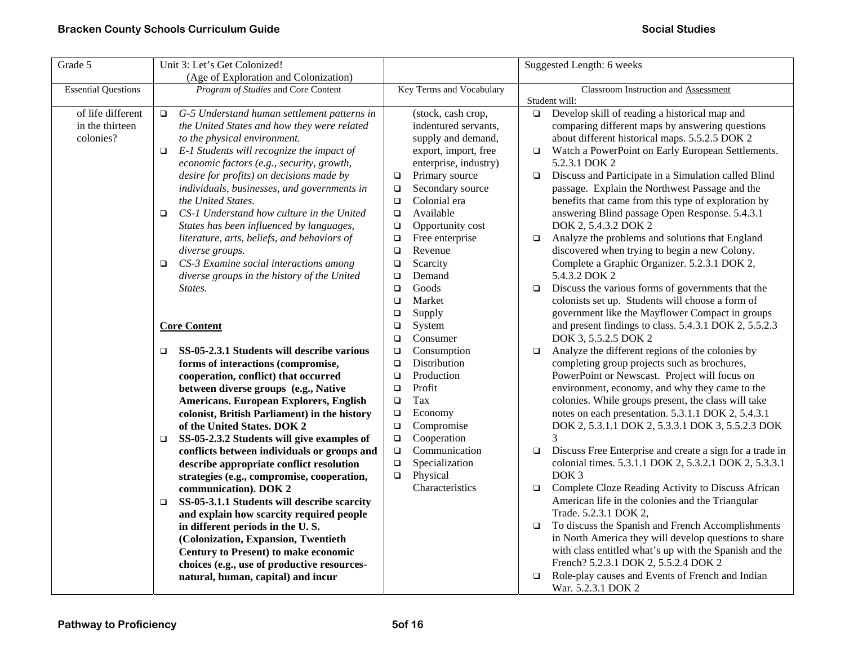| Grade 5                                           | Unit 3: Let's Get Colonized!                                                                                                                                                                                                                                                    |                                                                                                                                               | Suggested Length: 6 weeks                                                                                                                                                                                                                                                                                      |
|---------------------------------------------------|---------------------------------------------------------------------------------------------------------------------------------------------------------------------------------------------------------------------------------------------------------------------------------|-----------------------------------------------------------------------------------------------------------------------------------------------|----------------------------------------------------------------------------------------------------------------------------------------------------------------------------------------------------------------------------------------------------------------------------------------------------------------|
|                                                   | (Age of Exploration and Colonization)                                                                                                                                                                                                                                           |                                                                                                                                               |                                                                                                                                                                                                                                                                                                                |
| <b>Essential Questions</b>                        | Program of Studies and Core Content                                                                                                                                                                                                                                             | Key Terms and Vocabulary                                                                                                                      | Classroom Instruction and Assessment                                                                                                                                                                                                                                                                           |
|                                                   |                                                                                                                                                                                                                                                                                 |                                                                                                                                               | Student will:                                                                                                                                                                                                                                                                                                  |
| of life different<br>in the thirteen<br>colonies? | G-5 Understand human settlement patterns in<br>□<br>the United States and how they were related<br>to the physical environment.<br>E-1 Students will recognize the impact of<br>$\Box$<br>economic factors (e.g., security, growth,<br>desire for profits) on decisions made by | (stock, cash crop,<br>indentured servants,<br>supply and demand,<br>export, import, free<br>enterprise, industry)<br>Primary source<br>$\Box$ | Develop skill of reading a historical map and<br>$\Box$<br>comparing different maps by answering questions<br>about different historical maps. 5.5.2.5 DOK 2<br>Watch a PowerPoint on Early European Settlements.<br>$\Box$<br>5.2.3.1 DOK 2<br>Discuss and Participate in a Simulation called Blind<br>$\Box$ |
|                                                   | individuals, businesses, and governments in<br>the United States.<br>CS-1 Understand how culture in the United<br>$\Box$<br>States has been influenced by languages,                                                                                                            | Secondary source<br>$\Box$<br>Colonial era<br>$\Box$<br>Available<br>$\Box$<br>Opportunity cost<br>$\Box$                                     | passage. Explain the Northwest Passage and the<br>benefits that came from this type of exploration by<br>answering Blind passage Open Response. 5.4.3.1<br>DOK 2, 5.4.3.2 DOK 2                                                                                                                                |
|                                                   | literature, arts, beliefs, and behaviors of<br>diverse groups.<br>CS-3 Examine social interactions among<br>$\Box$                                                                                                                                                              | Free enterprise<br>$\Box$<br>$\Box$<br>Revenue<br>$\Box$<br>Scarcity                                                                          | Analyze the problems and solutions that England<br>$\Box$<br>discovered when trying to begin a new Colony.<br>Complete a Graphic Organizer. 5.2.3.1 DOK 2,                                                                                                                                                     |
|                                                   | diverse groups in the history of the United                                                                                                                                                                                                                                     | Demand<br>$\Box$                                                                                                                              | 5.4.3.2 DOK 2                                                                                                                                                                                                                                                                                                  |
|                                                   | States.                                                                                                                                                                                                                                                                         | Goods<br>$\Box$                                                                                                                               | Discuss the various forms of governments that the<br>$\Box$                                                                                                                                                                                                                                                    |
|                                                   |                                                                                                                                                                                                                                                                                 | Market<br>$\Box$                                                                                                                              | colonists set up. Students will choose a form of                                                                                                                                                                                                                                                               |
|                                                   |                                                                                                                                                                                                                                                                                 | $\Box$<br>Supply                                                                                                                              | government like the Mayflower Compact in groups                                                                                                                                                                                                                                                                |
|                                                   | <b>Core Content</b>                                                                                                                                                                                                                                                             | $\Box$<br>System<br>Consumer<br>$\Box$                                                                                                        | and present findings to class. 5.4.3.1 DOK 2, 5.5.2.3<br>DOK 3, 5.5.2.5 DOK 2                                                                                                                                                                                                                                  |
|                                                   | SS-05-2.3.1 Students will describe various<br>$\Box$                                                                                                                                                                                                                            | Consumption<br>$\Box$                                                                                                                         | Analyze the different regions of the colonies by<br>□                                                                                                                                                                                                                                                          |
|                                                   | forms of interactions (compromise,                                                                                                                                                                                                                                              | Distribution<br>$\Box$                                                                                                                        | completing group projects such as brochures,                                                                                                                                                                                                                                                                   |
|                                                   | cooperation, conflict) that occurred                                                                                                                                                                                                                                            | Production<br>$\Box$                                                                                                                          | PowerPoint or Newscast. Project will focus on                                                                                                                                                                                                                                                                  |
|                                                   | between diverse groups (e.g., Native                                                                                                                                                                                                                                            | Profit<br>$\Box$                                                                                                                              | environment, economy, and why they came to the                                                                                                                                                                                                                                                                 |
|                                                   | <b>Americans. European Explorers, English</b>                                                                                                                                                                                                                                   | Tax<br>$\Box$                                                                                                                                 | colonies. While groups present, the class will take                                                                                                                                                                                                                                                            |
|                                                   | colonist, British Parliament) in the history                                                                                                                                                                                                                                    | Economy<br>$\Box$                                                                                                                             | notes on each presentation. 5.3.1.1 DOK 2, 5.4.3.1                                                                                                                                                                                                                                                             |
|                                                   | of the United States. DOK 2                                                                                                                                                                                                                                                     | Compromise<br>$\Box$                                                                                                                          | DOK 2, 5.3.1.1 DOK 2, 5.3.3.1 DOK 3, 5.5.2.3 DOK                                                                                                                                                                                                                                                               |
|                                                   | SS-05-2.3.2 Students will give examples of<br>$\Box$                                                                                                                                                                                                                            | Cooperation<br>$\Box$                                                                                                                         | 3                                                                                                                                                                                                                                                                                                              |
|                                                   | conflicts between individuals or groups and                                                                                                                                                                                                                                     | Communication<br>$\Box$                                                                                                                       | Discuss Free Enterprise and create a sign for a trade in<br>$\Box$                                                                                                                                                                                                                                             |
|                                                   | describe appropriate conflict resolution                                                                                                                                                                                                                                        | Specialization<br>$\Box$                                                                                                                      | colonial times. 5.3.1.1 DOK 2, 5.3.2.1 DOK 2, 5.3.3.1                                                                                                                                                                                                                                                          |
|                                                   | strategies (e.g., compromise, cooperation,                                                                                                                                                                                                                                      | Physical<br>$\Box$                                                                                                                            | DOK <sub>3</sub>                                                                                                                                                                                                                                                                                               |
|                                                   | communication). DOK 2                                                                                                                                                                                                                                                           | Characteristics                                                                                                                               | Complete Cloze Reading Activity to Discuss African<br>$\Box$                                                                                                                                                                                                                                                   |
|                                                   | SS-05-3.1.1 Students will describe scarcity<br>□                                                                                                                                                                                                                                |                                                                                                                                               | American life in the colonies and the Triangular                                                                                                                                                                                                                                                               |
|                                                   | and explain how scarcity required people                                                                                                                                                                                                                                        |                                                                                                                                               | Trade. 5.2.3.1 DOK 2,                                                                                                                                                                                                                                                                                          |
|                                                   | in different periods in the U.S.                                                                                                                                                                                                                                                |                                                                                                                                               | To discuss the Spanish and French Accomplishments<br>$\Box$                                                                                                                                                                                                                                                    |
|                                                   | (Colonization, Expansion, Twentieth                                                                                                                                                                                                                                             |                                                                                                                                               | in North America they will develop questions to share                                                                                                                                                                                                                                                          |
|                                                   | Century to Present) to make economic                                                                                                                                                                                                                                            |                                                                                                                                               | with class entitled what's up with the Spanish and the                                                                                                                                                                                                                                                         |
|                                                   | choices (e.g., use of productive resources-                                                                                                                                                                                                                                     |                                                                                                                                               | French? 5.2.3.1 DOK 2, 5.5.2.4 DOK 2                                                                                                                                                                                                                                                                           |
|                                                   | natural, human, capital) and incur                                                                                                                                                                                                                                              |                                                                                                                                               | Role-play causes and Events of French and Indian<br>$\Box$<br>War. 5.2.3.1 DOK 2                                                                                                                                                                                                                               |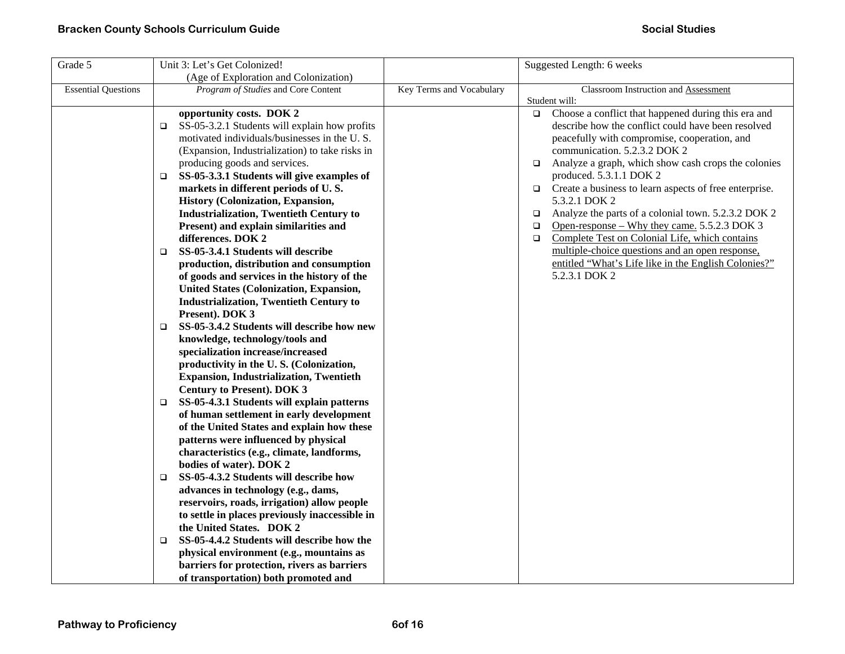| Grade 5                    | Unit 3: Let's Get Colonized!                         |                          | Suggested Length: 6 weeks                                        |
|----------------------------|------------------------------------------------------|--------------------------|------------------------------------------------------------------|
|                            | (Age of Exploration and Colonization)                |                          |                                                                  |
| <b>Essential Questions</b> | Program of Studies and Core Content                  | Key Terms and Vocabulary | Classroom Instruction and Assessment                             |
|                            |                                                      |                          | Student will:                                                    |
|                            | opportunity costs. DOK 2                             |                          | Choose a conflict that happened during this era and<br>$\Box$    |
|                            | SS-05-3.2.1 Students will explain how profits<br>o.  |                          | describe how the conflict could have been resolved               |
|                            | motivated individuals/businesses in the U.S.         |                          | peacefully with compromise, cooperation, and                     |
|                            | (Expansion, Industrialization) to take risks in      |                          | communication. 5.2.3.2 DOK 2                                     |
|                            | producing goods and services.                        |                          | Analyze a graph, which show cash crops the colonies<br>$\Box$    |
|                            | SS-05-3.3.1 Students will give examples of<br>❏      |                          | produced. 5.3.1.1 DOK 2                                          |
|                            | markets in different periods of U.S.                 |                          | Create a business to learn aspects of free enterprise.<br>$\Box$ |
|                            | History (Colonization, Expansion,                    |                          | 5.3.2.1 DOK 2                                                    |
|                            | <b>Industrialization, Twentieth Century to</b>       |                          | Analyze the parts of a colonial town. 5.2.3.2 DOK 2<br>□         |
|                            | Present) and explain similarities and                |                          | Open-response – Why they came. 5.5.2.3 DOK 3<br>❏                |
|                            | differences. DOK 2                                   |                          | Complete Test on Colonial Life, which contains<br>$\Box$         |
|                            | SS-05-3.4.1 Students will describe<br>$\Box$         |                          | multiple-choice questions and an open response,                  |
|                            | production, distribution and consumption             |                          | entitled "What's Life like in the English Colonies?"             |
|                            | of goods and services in the history of the          |                          | 5.2.3.1 DOK 2                                                    |
|                            | <b>United States (Colonization, Expansion,</b>       |                          |                                                                  |
|                            | <b>Industrialization, Twentieth Century to</b>       |                          |                                                                  |
|                            | Present). DOK 3                                      |                          |                                                                  |
|                            | SS-05-3.4.2 Students will describe how new<br>$\Box$ |                          |                                                                  |
|                            | knowledge, technology/tools and                      |                          |                                                                  |
|                            | specialization increase/increased                    |                          |                                                                  |
|                            | productivity in the U.S. (Colonization,              |                          |                                                                  |
|                            | <b>Expansion, Industrialization, Twentieth</b>       |                          |                                                                  |
|                            | <b>Century to Present). DOK 3</b>                    |                          |                                                                  |
|                            | SS-05-4.3.1 Students will explain patterns<br>□      |                          |                                                                  |
|                            | of human settlement in early development             |                          |                                                                  |
|                            | of the United States and explain how these           |                          |                                                                  |
|                            | patterns were influenced by physical                 |                          |                                                                  |
|                            | characteristics (e.g., climate, landforms,           |                          |                                                                  |
|                            | bodies of water). DOK 2                              |                          |                                                                  |
|                            | SS-05-4.3.2 Students will describe how<br>□          |                          |                                                                  |
|                            | advances in technology (e.g., dams,                  |                          |                                                                  |
|                            | reservoirs, roads, irrigation) allow people          |                          |                                                                  |
|                            | to settle in places previously inaccessible in       |                          |                                                                  |
|                            | the United States. DOK 2                             |                          |                                                                  |
|                            | SS-05-4.4.2 Students will describe how the<br>$\Box$ |                          |                                                                  |
|                            | physical environment (e.g., mountains as             |                          |                                                                  |
|                            | barriers for protection, rivers as barriers          |                          |                                                                  |
|                            | of transportation) both promoted and                 |                          |                                                                  |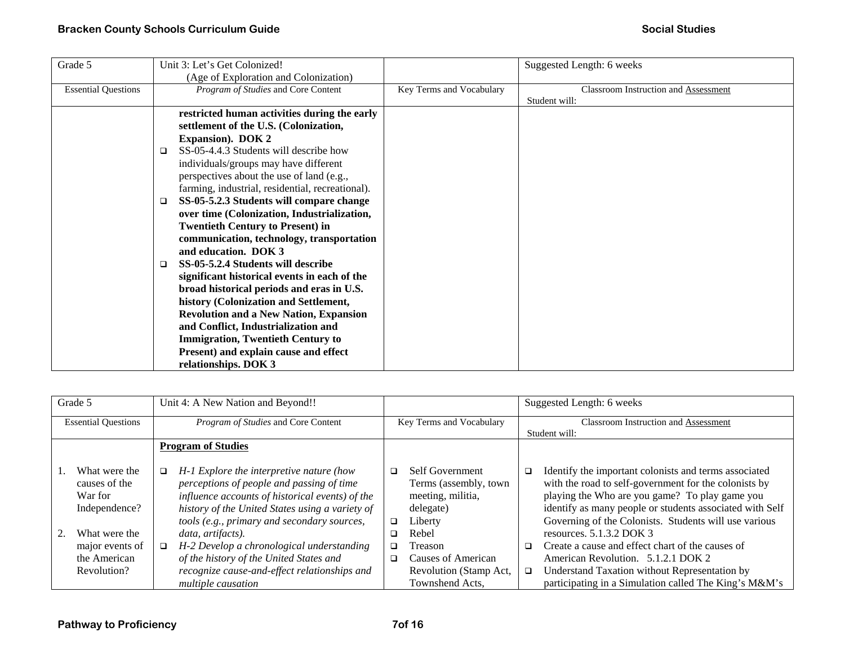| Grade 5                    | Unit 3: Let's Get Colonized!                     |                          | Suggested Length: 6 weeks                   |
|----------------------------|--------------------------------------------------|--------------------------|---------------------------------------------|
|                            | (Age of Exploration and Colonization)            |                          |                                             |
| <b>Essential Questions</b> | <i>Program of Studies</i> and Core Content       | Key Terms and Vocabulary | <b>Classroom Instruction and Assessment</b> |
|                            |                                                  |                          | Student will:                               |
|                            | restricted human activities during the early     |                          |                                             |
|                            | settlement of the U.S. (Colonization,            |                          |                                             |
|                            | <b>Expansion</b> ). DOK 2                        |                          |                                             |
|                            | SS-05-4.4.3 Students will describe how<br>$\Box$ |                          |                                             |
|                            | individuals/groups may have different            |                          |                                             |
|                            | perspectives about the use of land (e.g.,        |                          |                                             |
|                            | farming, industrial, residential, recreational). |                          |                                             |
|                            | SS-05-5.2.3 Students will compare change<br>□    |                          |                                             |
|                            | over time (Colonization, Industrialization,      |                          |                                             |
|                            | <b>Twentieth Century to Present) in</b>          |                          |                                             |
|                            | communication, technology, transportation        |                          |                                             |
|                            | and education. DOK 3                             |                          |                                             |
|                            | SS-05-5.2.4 Students will describe<br>□          |                          |                                             |
|                            | significant historical events in each of the     |                          |                                             |
|                            | broad historical periods and eras in U.S.        |                          |                                             |
|                            | history (Colonization and Settlement,            |                          |                                             |
|                            | <b>Revolution and a New Nation, Expansion</b>    |                          |                                             |
|                            | and Conflict, Industrialization and              |                          |                                             |
|                            | <b>Immigration, Twentieth Century to</b>         |                          |                                             |
|                            | Present) and explain cause and effect            |                          |                                             |
|                            | relationships. DOK 3                             |                          |                                             |

| Grade 5                    |  | Unit 4: A New Nation and Beyond!! |                                                 |        |                          |        | Suggested Length: 6 weeks                                |
|----------------------------|--|-----------------------------------|-------------------------------------------------|--------|--------------------------|--------|----------------------------------------------------------|
| <b>Essential Questions</b> |  |                                   | Program of Studies and Core Content             |        | Key Terms and Vocabulary |        | Classroom Instruction and Assessment                     |
|                            |  |                                   |                                                 |        |                          |        | Student will:                                            |
|                            |  |                                   | <b>Program of Studies</b>                       |        |                          |        |                                                          |
|                            |  |                                   |                                                 |        |                          |        |                                                          |
| What were the              |  |                                   | H-1 Explore the interpretive nature (how        | □      | <b>Self Government</b>   | $\Box$ | Identify the important colonists and terms associated    |
| causes of the              |  |                                   | perceptions of people and passing of time       |        | Terms (assembly, town    |        | with the road to self-government for the colonists by    |
| War for                    |  |                                   | influence accounts of historical events) of the |        | meeting, militia,        |        | playing the Who are you game? To play game you           |
| Independence?              |  |                                   | history of the United States using a variety of |        | delegate)                |        | identify as many people or students associated with Self |
|                            |  |                                   | tools (e.g., primary and secondary sources,     | $\Box$ | Liberty                  |        | Governing of the Colonists. Students will use various    |
| What were the              |  |                                   | data, artifacts).                               | ◻      | Rebel                    |        | resources. $5.1.3.2$ DOK 3                               |
| major events of            |  | □                                 | H-2 Develop a chronological understanding       | $\Box$ | Treason                  | ▫      | Create a cause and effect chart of the causes of         |
| the American               |  |                                   | of the history of the United States and         | $\Box$ | Causes of American       |        | American Revolution. 5.1.2.1 DOK 2                       |
| Revolution?                |  |                                   | recognize cause-and-effect relationships and    |        | Revolution (Stamp Act,   | o.     | Understand Taxation without Representation by            |
|                            |  |                                   | <i>multiple causation</i>                       |        | Townshend Acts,          |        | participating in a Simulation called The King's M&M's    |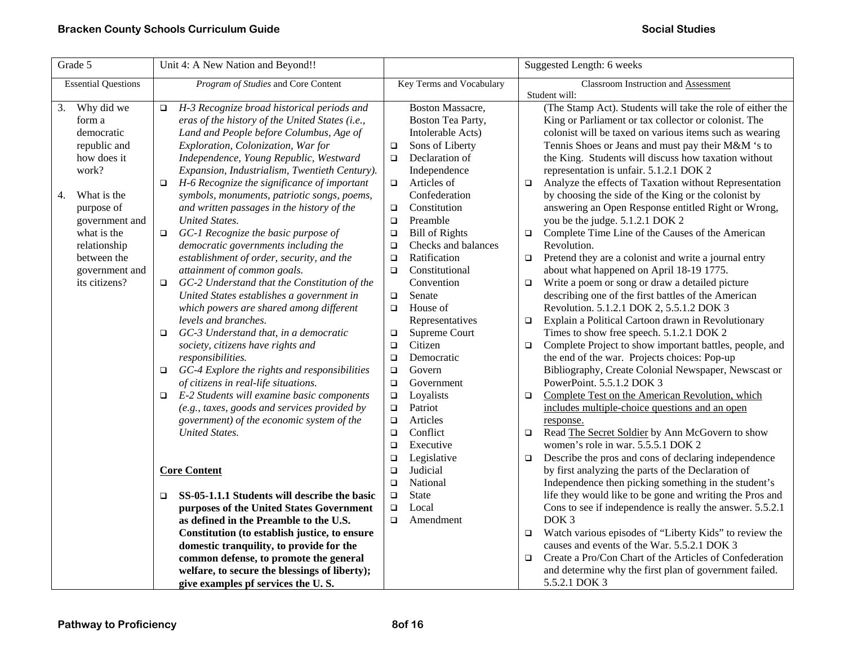| Grade 5                                                                                                                                                                                                             | Unit 4: A New Nation and Beyond!!                                                                                                                                                                                                                                                                                                                                                                                                                                                                                                                                                                                                                                                                                                                                                                                                                                                                                                                                                                                                                                                                                                                                                                                                                                                                                                                                                                                                      | Suggested Length: 6 weeks                                                                                                                                                                                                                                                                                                                                                                                                                                                                                                                                                                                                                                                                                                                                                                                      |                                                                                                                                                                                                                                                                                                                                                                                                                                                                                                                                                                                                                                                                                                                                                                                                                                                                                                                                                                                                                                                                                                                                                                                                                                                                                                                                                                                                                                                                                                                                                                                                                                                                                                                                                                                                                                                                               |
|---------------------------------------------------------------------------------------------------------------------------------------------------------------------------------------------------------------------|----------------------------------------------------------------------------------------------------------------------------------------------------------------------------------------------------------------------------------------------------------------------------------------------------------------------------------------------------------------------------------------------------------------------------------------------------------------------------------------------------------------------------------------------------------------------------------------------------------------------------------------------------------------------------------------------------------------------------------------------------------------------------------------------------------------------------------------------------------------------------------------------------------------------------------------------------------------------------------------------------------------------------------------------------------------------------------------------------------------------------------------------------------------------------------------------------------------------------------------------------------------------------------------------------------------------------------------------------------------------------------------------------------------------------------------|----------------------------------------------------------------------------------------------------------------------------------------------------------------------------------------------------------------------------------------------------------------------------------------------------------------------------------------------------------------------------------------------------------------------------------------------------------------------------------------------------------------------------------------------------------------------------------------------------------------------------------------------------------------------------------------------------------------------------------------------------------------------------------------------------------------|-------------------------------------------------------------------------------------------------------------------------------------------------------------------------------------------------------------------------------------------------------------------------------------------------------------------------------------------------------------------------------------------------------------------------------------------------------------------------------------------------------------------------------------------------------------------------------------------------------------------------------------------------------------------------------------------------------------------------------------------------------------------------------------------------------------------------------------------------------------------------------------------------------------------------------------------------------------------------------------------------------------------------------------------------------------------------------------------------------------------------------------------------------------------------------------------------------------------------------------------------------------------------------------------------------------------------------------------------------------------------------------------------------------------------------------------------------------------------------------------------------------------------------------------------------------------------------------------------------------------------------------------------------------------------------------------------------------------------------------------------------------------------------------------------------------------------------------------------------------------------------|
| <b>Essential Questions</b>                                                                                                                                                                                          | Program of Studies and Core Content                                                                                                                                                                                                                                                                                                                                                                                                                                                                                                                                                                                                                                                                                                                                                                                                                                                                                                                                                                                                                                                                                                                                                                                                                                                                                                                                                                                                    | Key Terms and Vocabulary                                                                                                                                                                                                                                                                                                                                                                                                                                                                                                                                                                                                                                                                                                                                                                                       | Classroom Instruction and Assessment<br>Student will:                                                                                                                                                                                                                                                                                                                                                                                                                                                                                                                                                                                                                                                                                                                                                                                                                                                                                                                                                                                                                                                                                                                                                                                                                                                                                                                                                                                                                                                                                                                                                                                                                                                                                                                                                                                                                         |
| 3. Why did we<br>form a<br>democratic<br>republic and<br>how does it<br>work?<br>What is the<br>4.<br>purpose of<br>government and<br>what is the<br>relationship<br>between the<br>government and<br>its citizens? | H-3 Recognize broad historical periods and<br>$\Box$<br>eras of the history of the United States (i.e.,<br>Land and People before Columbus, Age of<br>Exploration, Colonization, War for<br>Independence, Young Republic, Westward<br>Expansion, Industrialism, Twentieth Century).<br>H-6 Recognize the significance of important<br>$\Box$<br>symbols, monuments, patriotic songs, poems,<br>and written passages in the history of the<br><b>United States.</b><br>GC-1 Recognize the basic purpose of<br>$\Box$<br>democratic governments including the<br>establishment of order, security, and the<br>attainment of common goals.<br>GC-2 Understand that the Constitution of the<br>$\Box$<br>United States establishes a government in<br>which powers are shared among different<br>levels and branches.<br>GC-3 Understand that, in a democratic<br>$\Box$<br>society, citizens have rights and<br>responsibilities.<br>GC-4 Explore the rights and responsibilities<br>$\Box$<br>of citizens in real-life situations.<br>E-2 Students will examine basic components<br>$\Box$<br>(e.g., taxes, goods and services provided by<br>government) of the economic system of the<br><b>United States.</b><br><b>Core Content</b><br>SS-05-1.1.1 Students will describe the basic<br>$\Box$<br>purposes of the United States Government<br>as defined in the Preamble to the U.S.<br>Constitution (to establish justice, to ensure | Boston Massacre,<br>Boston Tea Party,<br>Intolerable Acts)<br>Sons of Liberty<br>$\Box$<br>Declaration of<br>$\Box$<br>Independence<br>Articles of<br>$\Box$<br>Confederation<br>Constitution<br>$\Box$<br>Preamble<br>$\Box$<br><b>Bill of Rights</b><br>$\Box$<br>Checks and balances<br>$\Box$<br>Ratification<br>$\Box$<br>Constitutional<br>$\Box$<br>Convention<br>Senate<br>$\Box$<br>House of<br>$\Box$<br>Representatives<br>Supreme Court<br>$\Box$<br>Citizen<br>$\Box$<br>Democratic<br>$\Box$<br>Govern<br>$\Box$<br>$\Box$<br>Government<br>Loyalists<br>$\Box$<br>Patriot<br>$\Box$<br>Articles<br>$\Box$<br>Conflict<br>$\Box$<br>Executive<br>$\Box$<br>Legislative<br>$\Box$<br>Judicial<br>$\Box$<br>National<br>$\Box$<br><b>State</b><br>$\Box$<br>Local<br>$\Box$<br>Amendment<br>$\Box$ | (The Stamp Act). Students will take the role of either the<br>King or Parliament or tax collector or colonist. The<br>colonist will be taxed on various items such as wearing<br>Tennis Shoes or Jeans and must pay their M&M 's to<br>the King. Students will discuss how taxation without<br>representation is unfair. 5.1.2.1 DOK 2<br>Analyze the effects of Taxation without Representation<br>$\Box$<br>by choosing the side of the King or the colonist by<br>answering an Open Response entitled Right or Wrong,<br>you be the judge. 5.1.2.1 DOK 2<br>Complete Time Line of the Causes of the American<br>$\Box$<br>Revolution.<br>Pretend they are a colonist and write a journal entry<br>$\Box$<br>about what happened on April 18-19 1775.<br>Write a poem or song or draw a detailed picture<br>$\Box$<br>describing one of the first battles of the American<br>Revolution. 5.1.2.1 DOK 2, 5.5.1.2 DOK 3<br>Explain a Political Cartoon drawn in Revolutionary<br>$\Box$<br>Times to show free speech. 5.1.2.1 DOK 2<br>Complete Project to show important battles, people, and<br>$\Box$<br>the end of the war. Projects choices: Pop-up<br>Bibliography, Create Colonial Newspaper, Newscast or<br>PowerPoint. 5.5.1.2 DOK 3<br>Complete Test on the American Revolution, which<br>$\Box$<br>includes multiple-choice questions and an open<br>response.<br>Read The Secret Soldier by Ann McGovern to show<br>$\Box$<br>women's role in war. 5.5.5.1 DOK 2<br>Describe the pros and cons of declaring independence<br>$\Box$<br>by first analyzing the parts of the Declaration of<br>Independence then picking something in the student's<br>life they would like to be gone and writing the Pros and<br>Cons to see if independence is really the answer. 5.5.2.1<br>DOK <sub>3</sub><br>Watch various episodes of "Liberty Kids" to review the<br>$\Box$ |
|                                                                                                                                                                                                                     | domestic tranquility, to provide for the<br>common defense, to promote the general<br>welfare, to secure the blessings of liberty);<br>give examples pf services the U.S.                                                                                                                                                                                                                                                                                                                                                                                                                                                                                                                                                                                                                                                                                                                                                                                                                                                                                                                                                                                                                                                                                                                                                                                                                                                              |                                                                                                                                                                                                                                                                                                                                                                                                                                                                                                                                                                                                                                                                                                                                                                                                                | causes and events of the War. 5.5.2.1 DOK 3<br>Create a Pro/Con Chart of the Articles of Confederation<br>$\Box$<br>and determine why the first plan of government failed.<br>5.5.2.1 DOK 3                                                                                                                                                                                                                                                                                                                                                                                                                                                                                                                                                                                                                                                                                                                                                                                                                                                                                                                                                                                                                                                                                                                                                                                                                                                                                                                                                                                                                                                                                                                                                                                                                                                                                   |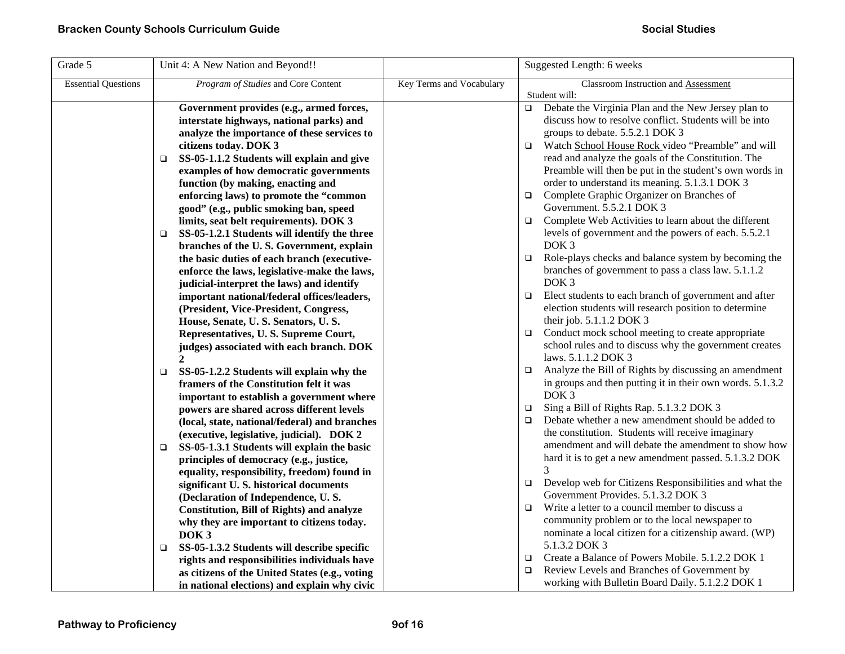| Grade 5                    | Unit 4: A New Nation and Beyond!!                     |                          | Suggested Length: 6 weeks                                        |
|----------------------------|-------------------------------------------------------|--------------------------|------------------------------------------------------------------|
| <b>Essential Questions</b> | Program of Studies and Core Content                   | Key Terms and Vocabulary | Classroom Instruction and Assessment                             |
|                            |                                                       |                          | Student will:                                                    |
|                            | Government provides (e.g., armed forces,              |                          | Debate the Virginia Plan and the New Jersey plan to<br>$\Box$    |
|                            | interstate highways, national parks) and              |                          | discuss how to resolve conflict. Students will be into           |
|                            | analyze the importance of these services to           |                          | groups to debate. 5.5.2.1 DOK 3                                  |
|                            | citizens today. DOK 3                                 |                          | Watch School House Rock video "Preamble" and will<br>$\Box$      |
|                            | SS-05-1.1.2 Students will explain and give<br>$\Box$  |                          | read and analyze the goals of the Constitution. The              |
|                            | examples of how democratic governments                |                          | Preamble will then be put in the student's own words in          |
|                            | function (by making, enacting and                     |                          | order to understand its meaning. 5.1.3.1 DOK 3                   |
|                            | enforcing laws) to promote the "common                |                          | Complete Graphic Organizer on Branches of<br>$\Box$              |
|                            | good" (e.g., public smoking ban, speed                |                          | Government. 5.5.2.1 DOK 3                                        |
|                            | limits, seat belt requirements). DOK 3                |                          | Complete Web Activities to learn about the different<br>$\Box$   |
|                            | SS-05-1.2.1 Students will identify the three<br>□     |                          | levels of government and the powers of each. 5.5.2.1             |
|                            | branches of the U.S. Government, explain              |                          | DOK <sub>3</sub>                                                 |
|                            | the basic duties of each branch (executive-           |                          | Role-plays checks and balance system by becoming the<br>$\Box$   |
|                            | enforce the laws, legislative-make the laws,          |                          | branches of government to pass a class law. 5.1.1.2              |
|                            | judicial-interpret the laws) and identify             |                          | DOK <sub>3</sub>                                                 |
|                            | important national/federal offices/leaders,           |                          | Elect students to each branch of government and after<br>$\Box$  |
|                            | (President, Vice-President, Congress,                 |                          | election students will research position to determine            |
|                            | House, Senate, U.S. Senators, U.S.                    |                          | their job. 5.1.1.2 DOK 3                                         |
|                            | Representatives, U.S. Supreme Court,                  |                          | Conduct mock school meeting to create appropriate<br>$\Box$      |
|                            | judges) associated with each branch. DOK              |                          | school rules and to discuss why the government creates           |
|                            | $\mathbf{2}$                                          |                          | laws. 5.1.1.2 DOK 3                                              |
|                            | SS-05-1.2.2 Students will explain why the<br>$\Box$   |                          | Analyze the Bill of Rights by discussing an amendment<br>$\Box$  |
|                            | framers of the Constitution felt it was               |                          | in groups and then putting it in their own words. 5.1.3.2        |
|                            | important to establish a government where             |                          | DOK <sub>3</sub>                                                 |
|                            | powers are shared across different levels             |                          | Sing a Bill of Rights Rap. 5.1.3.2 DOK 3<br>$\Box$               |
|                            | (local, state, national/federal) and branches         |                          | Debate whether a new amendment should be added to<br>$\Box$      |
|                            | (executive, legislative, judicial). DOK 2             |                          | the constitution. Students will receive imaginary                |
|                            | SS-05-1.3.1 Students will explain the basic<br>□      |                          | amendment and will debate the amendment to show how              |
|                            | principles of democracy (e.g., justice,               |                          | hard it is to get a new amendment passed. 5.1.3.2 DOK            |
|                            | equality, responsibility, freedom) found in           |                          | 3                                                                |
|                            | significant U.S. historical documents                 |                          | Develop web for Citizens Responsibilities and what the<br>$\Box$ |
|                            | (Declaration of Independence, U.S.                    |                          | Government Provides. 5.1.3.2 DOK 3                               |
|                            | <b>Constitution, Bill of Rights) and analyze</b>      |                          | Write a letter to a council member to discuss a<br>$\Box$        |
|                            | why they are important to citizens today.             |                          | community problem or to the local newspaper to                   |
|                            | DOK <sub>3</sub>                                      |                          | nominate a local citizen for a citizenship award. (WP)           |
|                            | SS-05-1.3.2 Students will describe specific<br>$\Box$ |                          | 5.1.3.2 DOK 3                                                    |
|                            | rights and responsibilities individuals have          |                          | Create a Balance of Powers Mobile. 5.1.2.2 DOK 1<br>$\Box$       |
|                            | as citizens of the United States (e.g., voting        |                          | Review Levels and Branches of Government by<br>$\Box$            |
|                            | in national elections) and explain why civic          |                          | working with Bulletin Board Daily. 5.1.2.2 DOK 1                 |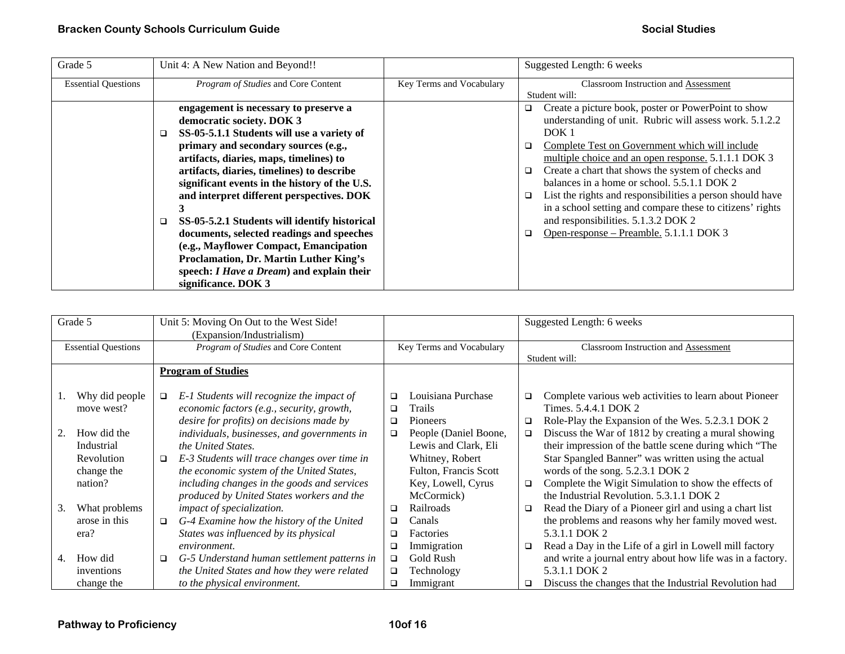| Grade 5                    | Unit 4: A New Nation and Beyond!!                 |                          | Suggested Length: 6 weeks                                      |
|----------------------------|---------------------------------------------------|--------------------------|----------------------------------------------------------------|
| <b>Essential Questions</b> | Program of Studies and Core Content               | Key Terms and Vocabulary | Classroom Instruction and Assessment                           |
|                            |                                                   |                          | Student will:                                                  |
|                            | engagement is necessary to preserve a             |                          | Create a picture book, poster or PowerPoint to show<br>o.      |
|                            | democratic society. DOK 3                         |                          | understanding of unit. Rubric will assess work. 5.1.2.2        |
|                            | SS-05-5.1.1 Students will use a variety of        |                          | DOK <sub>1</sub>                                               |
|                            | primary and secondary sources (e.g.,              |                          | Complete Test on Government which will include<br>□            |
|                            | artifacts, diaries, maps, timelines) to           |                          | multiple choice and an open response. 5.1.1.1 DOK 3            |
|                            | artifacts, diaries, timelines) to describe        |                          | Create a chart that shows the system of checks and<br>$\Box$   |
|                            | significant events in the history of the U.S.     |                          | balances in a home or school. 5.5.1.1 DOK 2                    |
|                            | and interpret different perspectives. DOK         |                          | List the rights and responsibilities a person should have<br>□ |
|                            |                                                   |                          | in a school setting and compare these to citizens' rights      |
|                            | SS-05-5.2.1 Students will identify historical     |                          | and responsibilities. 5.1.3.2 DOK 2                            |
|                            | documents, selected readings and speeches         |                          | Open-response – Preamble. 5.1.1.1 DOK 3<br>$\Box$              |
|                            | (e.g., Mayflower Compact, Emancipation            |                          |                                                                |
|                            | Proclamation, Dr. Martin Luther King's            |                          |                                                                |
|                            | speech: <i>I Have a Dream</i> ) and explain their |                          |                                                                |
|                            | significance. DOK 3                               |                          |                                                                |

|    | Grade 5                    |                           | Unit 5: Moving On Out to the West Side!<br>(Expansion/Industrialism) |        |                          |        | Suggested Length: 6 weeks                                  |  |
|----|----------------------------|---------------------------|----------------------------------------------------------------------|--------|--------------------------|--------|------------------------------------------------------------|--|
|    | <b>Essential Questions</b> |                           | Program of Studies and Core Content                                  |        | Key Terms and Vocabulary |        | Classroom Instruction and Assessment                       |  |
|    |                            |                           |                                                                      |        |                          |        | Student will:                                              |  |
|    |                            | <b>Program of Studies</b> |                                                                      |        |                          |        |                                                            |  |
|    |                            |                           |                                                                      |        |                          |        |                                                            |  |
|    | Why did people             | $\Box$                    | E-1 Students will recognize the impact of                            | □      | Louisiana Purchase       | ❏      | Complete various web activities to learn about Pioneer     |  |
|    | move west?                 |                           | economic factors (e.g., security, growth,                            | □      | Trails                   |        | Times. 5.4.4.1 DOK 2                                       |  |
|    |                            |                           | desire for profits) on decisions made by                             | □      | Pioneers                 | $\Box$ | Role-Play the Expansion of the Wes. 5.2.3.1 DOK 2          |  |
| 2. | How did the                |                           | individuals, businesses, and governments in                          | □      | People (Daniel Boone,    | □      | Discuss the War of 1812 by creating a mural showing        |  |
|    | Industrial                 |                           | the United States.                                                   |        | Lewis and Clark, Eli     |        | their impression of the battle scene during which "The     |  |
|    | Revolution                 | $\Box$                    | E-3 Students will trace changes over time in                         |        | Whitney, Robert          |        | Star Spangled Banner" was written using the actual         |  |
|    | change the                 |                           | the economic system of the United States,                            |        | Fulton, Francis Scott    |        | words of the song. 5.2.3.1 DOK 2                           |  |
|    | nation?                    |                           | including changes in the goods and services                          |        | Key, Lowell, Cyrus       | $\Box$ | Complete the Wigit Simulation to show the effects of       |  |
|    |                            |                           | produced by United States workers and the                            |        | McCormick)               |        | the Industrial Revolution, 5.3.1.1 DOK 2                   |  |
| 3. | What problems              |                           | impact of specialization.                                            | □      | Railroads                | $\Box$ | Read the Diary of a Pioneer girl and using a chart list    |  |
|    | arose in this              | $\Box$                    | G-4 Examine how the history of the United                            | □      | Canals                   |        | the problems and reasons why her family moved west.        |  |
|    | era?                       |                           | States was influenced by its physical                                | ❏      | Factories                |        | 5.3.1.1 DOK 2                                              |  |
|    |                            |                           | environment.                                                         | □      | Immigration              | $\Box$ | Read a Day in the Life of a girl in Lowell mill factory    |  |
| 4. | How did                    | $\Box$                    | G-5 Understand human settlement patterns in                          | □      | Gold Rush                |        | and write a journal entry about how life was in a factory. |  |
|    | inventions                 |                           | the United States and how they were related                          | $\Box$ | Technology               |        | 5.3.1.1 DOK 2                                              |  |
|    | change the                 |                           | to the physical environment.                                         | □      | Immigrant                | o      | Discuss the changes that the Industrial Revolution had     |  |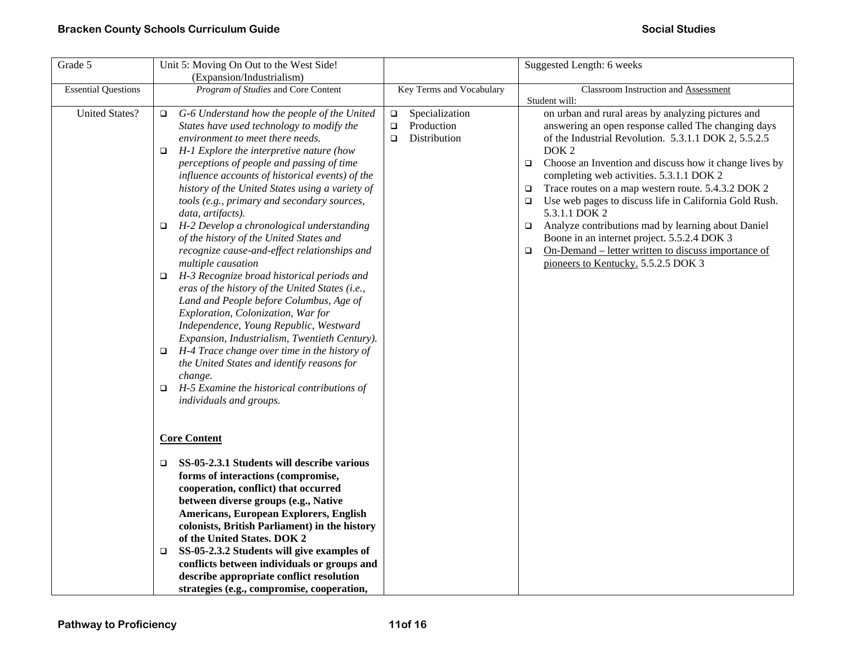| Grade 5                    | Unit 5: Moving On Out to the West Side!                                                                                                                                                                                                                                                                                                                                                                                                                                                                                                                                                                                                                                                                                                                                                                                                                                                                                                                                                                                                                               |                                                                            | Suggested Length: 6 weeks                                                                                                                                                                                                                                                                                                                                                                                                                                                                                                                                                                                                                                                                          |
|----------------------------|-----------------------------------------------------------------------------------------------------------------------------------------------------------------------------------------------------------------------------------------------------------------------------------------------------------------------------------------------------------------------------------------------------------------------------------------------------------------------------------------------------------------------------------------------------------------------------------------------------------------------------------------------------------------------------------------------------------------------------------------------------------------------------------------------------------------------------------------------------------------------------------------------------------------------------------------------------------------------------------------------------------------------------------------------------------------------|----------------------------------------------------------------------------|----------------------------------------------------------------------------------------------------------------------------------------------------------------------------------------------------------------------------------------------------------------------------------------------------------------------------------------------------------------------------------------------------------------------------------------------------------------------------------------------------------------------------------------------------------------------------------------------------------------------------------------------------------------------------------------------------|
|                            | (Expansion/Industrialism)                                                                                                                                                                                                                                                                                                                                                                                                                                                                                                                                                                                                                                                                                                                                                                                                                                                                                                                                                                                                                                             |                                                                            |                                                                                                                                                                                                                                                                                                                                                                                                                                                                                                                                                                                                                                                                                                    |
| <b>Essential Questions</b> | Program of Studies and Core Content                                                                                                                                                                                                                                                                                                                                                                                                                                                                                                                                                                                                                                                                                                                                                                                                                                                                                                                                                                                                                                   | Key Terms and Vocabulary                                                   | Classroom Instruction and Assessment                                                                                                                                                                                                                                                                                                                                                                                                                                                                                                                                                                                                                                                               |
| <b>United States?</b>      | G-6 Understand how the people of the United<br>$\Box$<br>States have used technology to modify the<br>environment to meet there needs.<br>H-1 Explore the interpretive nature (how<br>$\Box$<br>perceptions of people and passing of time<br>influence accounts of historical events) of the<br>history of the United States using a variety of<br>tools (e.g., primary and secondary sources,<br>data, artifacts).<br>H-2 Develop a chronological understanding<br>□<br>of the history of the United States and<br>recognize cause-and-effect relationships and<br>multiple causation<br>H-3 Recognize broad historical periods and<br>□<br>eras of the history of the United States (i.e.,<br>Land and People before Columbus, Age of<br>Exploration, Colonization, War for<br>Independence, Young Republic, Westward<br>Expansion, Industrialism, Twentieth Century).<br>H-4 Trace change over time in the history of<br>□<br>the United States and identify reasons for<br>change.<br>H-5 Examine the historical contributions of<br>□<br>individuals and groups. | Specialization<br>$\Box$<br>$\Box$<br>Production<br>Distribution<br>$\Box$ | Student will:<br>on urban and rural areas by analyzing pictures and<br>answering an open response called The changing days<br>of the Industrial Revolution. 5.3.1.1 DOK 2, 5.5.2.5<br>DOK <sub>2</sub><br>Choose an Invention and discuss how it change lives by<br>$\Box$<br>completing web activities. 5.3.1.1 DOK 2<br>Trace routes on a map western route. 5.4.3.2 DOK 2<br>$\Box$<br>Use web pages to discuss life in California Gold Rush.<br>$\Box$<br>5.3.1.1 DOK 2<br>Analyze contributions mad by learning about Daniel<br>$\Box$<br>Boone in an internet project. 5.5.2.4 DOK 3<br>On-Demand – letter written to discuss importance of<br>$\Box$<br>pioneers to Kentucky. 5.5.2.5 DOK 3 |
|                            | <b>Core Content</b>                                                                                                                                                                                                                                                                                                                                                                                                                                                                                                                                                                                                                                                                                                                                                                                                                                                                                                                                                                                                                                                   |                                                                            |                                                                                                                                                                                                                                                                                                                                                                                                                                                                                                                                                                                                                                                                                                    |
|                            | SS-05-2.3.1 Students will describe various<br>□<br>forms of interactions (compromise,<br>cooperation, conflict) that occurred<br>between diverse groups (e.g., Native<br>Americans, European Explorers, English<br>colonists, British Parliament) in the history<br>of the United States. DOK 2<br>SS-05-2.3.2 Students will give examples of<br>$\Box$<br>conflicts between individuals or groups and<br>describe appropriate conflict resolution<br>strategies (e.g., compromise, cooperation,                                                                                                                                                                                                                                                                                                                                                                                                                                                                                                                                                                      |                                                                            |                                                                                                                                                                                                                                                                                                                                                                                                                                                                                                                                                                                                                                                                                                    |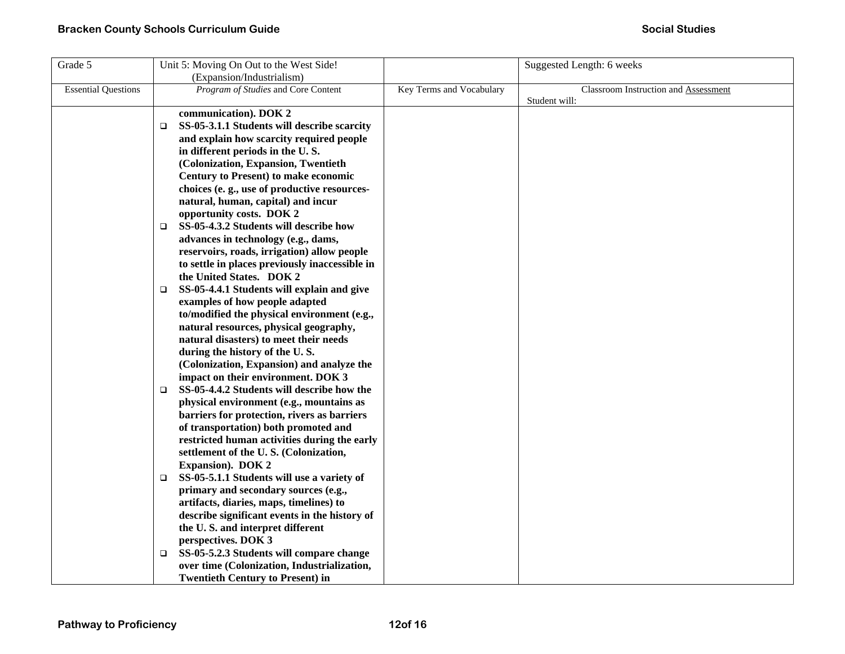| Grade 5                    | Unit 5: Moving On Out to the West Side!               |                          | Suggested Length: 6 weeks            |
|----------------------------|-------------------------------------------------------|--------------------------|--------------------------------------|
|                            | (Expansion/Industrialism)                             |                          |                                      |
| <b>Essential Questions</b> | Program of Studies and Core Content                   | Key Terms and Vocabulary | Classroom Instruction and Assessment |
|                            |                                                       |                          | Student will:                        |
|                            | communication). DOK 2                                 |                          |                                      |
|                            | SS-05-3.1.1 Students will describe scarcity<br>$\Box$ |                          |                                      |
|                            | and explain how scarcity required people              |                          |                                      |
|                            | in different periods in the U.S.                      |                          |                                      |
|                            | (Colonization, Expansion, Twentieth                   |                          |                                      |
|                            | <b>Century to Present) to make economic</b>           |                          |                                      |
|                            | choices (e.g., use of productive resources-           |                          |                                      |
|                            | natural, human, capital) and incur                    |                          |                                      |
|                            | opportunity costs. DOK 2                              |                          |                                      |
|                            | SS-05-4.3.2 Students will describe how<br>$\Box$      |                          |                                      |
|                            | advances in technology (e.g., dams,                   |                          |                                      |
|                            | reservoirs, roads, irrigation) allow people           |                          |                                      |
|                            | to settle in places previously inaccessible in        |                          |                                      |
|                            | the United States. DOK 2                              |                          |                                      |
|                            | SS-05-4.4.1 Students will explain and give<br>❏       |                          |                                      |
|                            | examples of how people adapted                        |                          |                                      |
|                            | to/modified the physical environment (e.g.,           |                          |                                      |
|                            | natural resources, physical geography,                |                          |                                      |
|                            | natural disasters) to meet their needs                |                          |                                      |
|                            | during the history of the U.S.                        |                          |                                      |
|                            | (Colonization, Expansion) and analyze the             |                          |                                      |
|                            | impact on their environment. DOK 3                    |                          |                                      |
|                            | SS-05-4.4.2 Students will describe how the<br>$\Box$  |                          |                                      |
|                            | physical environment (e.g., mountains as              |                          |                                      |
|                            | barriers for protection, rivers as barriers           |                          |                                      |
|                            | of transportation) both promoted and                  |                          |                                      |
|                            | restricted human activities during the early          |                          |                                      |
|                            | settlement of the U.S. (Colonization,                 |                          |                                      |
|                            | <b>Expansion</b> ). DOK 2                             |                          |                                      |
|                            | SS-05-5.1.1 Students will use a variety of<br>□       |                          |                                      |
|                            | primary and secondary sources (e.g.,                  |                          |                                      |
|                            | artifacts, diaries, maps, timelines) to               |                          |                                      |
|                            | describe significant events in the history of         |                          |                                      |
|                            | the U.S. and interpret different                      |                          |                                      |
|                            | perspectives. DOK 3                                   |                          |                                      |
|                            | SS-05-5.2.3 Students will compare change<br>□         |                          |                                      |
|                            | over time (Colonization, Industrialization,           |                          |                                      |
|                            | <b>Twentieth Century to Present) in</b>               |                          |                                      |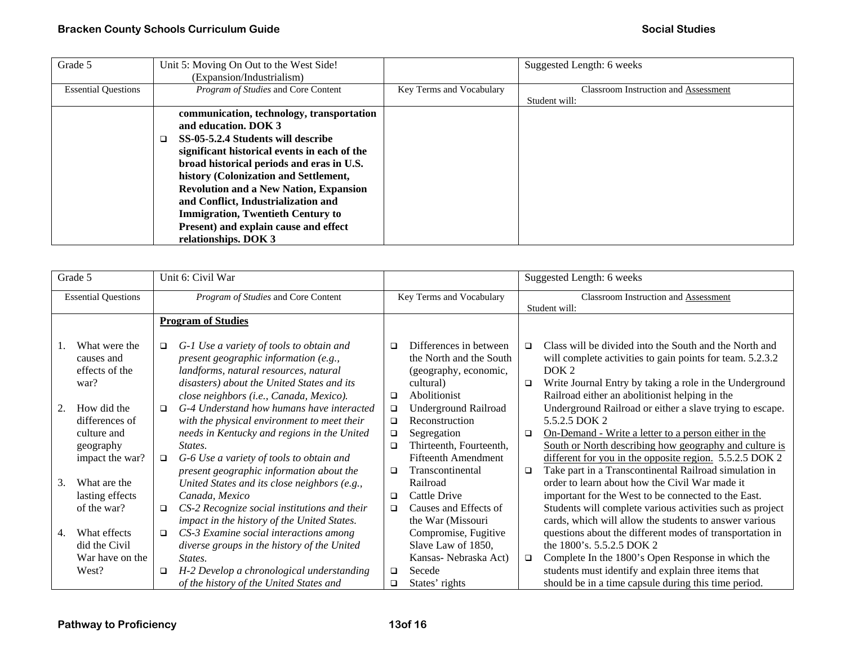| Grade 5                    | Unit 5: Moving On Out to the West Side!                                                                                                                                                                                                                                                                                                                                                                                                            |                          | Suggested Length: 6 weeks                   |
|----------------------------|----------------------------------------------------------------------------------------------------------------------------------------------------------------------------------------------------------------------------------------------------------------------------------------------------------------------------------------------------------------------------------------------------------------------------------------------------|--------------------------|---------------------------------------------|
|                            | (Expansion/Industrialism)                                                                                                                                                                                                                                                                                                                                                                                                                          |                          |                                             |
| <b>Essential Questions</b> | Program of Studies and Core Content                                                                                                                                                                                                                                                                                                                                                                                                                | Key Terms and Vocabulary | <b>Classroom Instruction and Assessment</b> |
|                            |                                                                                                                                                                                                                                                                                                                                                                                                                                                    |                          | Student will:                               |
|                            | communication, technology, transportation<br>and education. DOK 3<br>SS-05-5.2.4 Students will describe<br>significant historical events in each of the<br>broad historical periods and eras in U.S.<br>history (Colonization and Settlement,<br><b>Revolution and a New Nation, Expansion</b><br>and Conflict, Industrialization and<br><b>Immigration, Twentieth Century to</b><br>Present) and explain cause and effect<br>relationships. DOK 3 |                          |                                             |

|                            | Grade 5                                                                      |                                     | Unit 6: Civil War                                                                                                                                                                                                                          |                                      |                                                                                                                                    | Suggested Length: 6 weeks |                                                                                                                                                                                                                                                                                                                  |  |
|----------------------------|------------------------------------------------------------------------------|-------------------------------------|--------------------------------------------------------------------------------------------------------------------------------------------------------------------------------------------------------------------------------------------|--------------------------------------|------------------------------------------------------------------------------------------------------------------------------------|---------------------------|------------------------------------------------------------------------------------------------------------------------------------------------------------------------------------------------------------------------------------------------------------------------------------------------------------------|--|
| <b>Essential Questions</b> |                                                                              | Program of Studies and Core Content |                                                                                                                                                                                                                                            | Key Terms and Vocabulary             |                                                                                                                                    |                           | Classroom Instruction and Assessment<br>Student will:                                                                                                                                                                                                                                                            |  |
|                            |                                                                              |                                     | <b>Program of Studies</b>                                                                                                                                                                                                                  |                                      |                                                                                                                                    |                           |                                                                                                                                                                                                                                                                                                                  |  |
|                            | What were the<br>causes and<br>effects of the<br>war?                        | $\Box$                              | G-1 Use a variety of tools to obtain and<br>present geographic information (e.g.,<br>landforms, natural resources, natural<br>disasters) about the United States and its<br>close neighbors (i.e., Canada, Mexico).                        | □<br>$\Box$                          | Differences in between<br>the North and the South<br>(geography, economic,<br>cultural)<br>Abolitionist                            | $\Box$<br>$\Box$          | Class will be divided into the South and the North and<br>will complete activities to gain points for team. 5.2.3.2<br>DOK <sub>2</sub><br>Write Journal Entry by taking a role in the Underground<br>Railroad either an abolitionist helping in the                                                             |  |
| 2.                         | How did the<br>differences of<br>culture and<br>geography<br>impact the war? | $\Box$<br>$\Box$                    | G-4 Understand how humans have interacted<br>with the physical environment to meet their<br>needs in Kentucky and regions in the United<br>States.<br>G-6 Use a variety of tools to obtain and<br>present geographic information about the | $\Box$<br>$\Box$<br>$\Box$<br>□<br>□ | <b>Underground Railroad</b><br>Reconstruction<br>Segregation<br>Thirteenth, Fourteenth,<br>Fifteenth Amendment<br>Transcontinental | $\Box$<br>$\Box$          | Underground Railroad or either a slave trying to escape.<br>5.5.2.5 DOK 2<br>On-Demand - Write a letter to a person either in the<br>South or North describing how geography and culture is<br>different for you in the opposite region. 5.5.2.5 DOK 2<br>Take part in a Transcontinental Railroad simulation in |  |
| 3.                         | What are the<br>lasting effects<br>of the war?                               | $\Box$                              | United States and its close neighbors (e.g.,<br>Canada, Mexico<br>CS-2 Recognize social institutions and their<br>impact in the history of the United States.                                                                              | □<br>$\Box$                          | Railroad<br>Cattle Drive<br>Causes and Effects of<br>the War (Missouri                                                             |                           | order to learn about how the Civil War made it<br>important for the West to be connected to the East.<br>Students will complete various activities such as project<br>cards, which will allow the students to answer various                                                                                     |  |
| 4.                         | What effects<br>did the Civil<br>War have on the<br>West?                    | $\Box$<br>$\Box$                    | CS-3 Examine social interactions among<br>diverse groups in the history of the United<br>States.<br>H-2 Develop a chronological understanding<br>of the history of the United States and                                                   | $\Box$<br>□                          | Compromise, Fugitive<br>Slave Law of 1850,<br>Kansas-Nebraska Act)<br>Secede<br>States' rights                                     | $\Box$                    | questions about the different modes of transportation in<br>the 1800's. 5.5.2.5 DOK 2<br>Complete In the 1800's Open Response in which the<br>students must identify and explain three items that<br>should be in a time capsule during this time period.                                                        |  |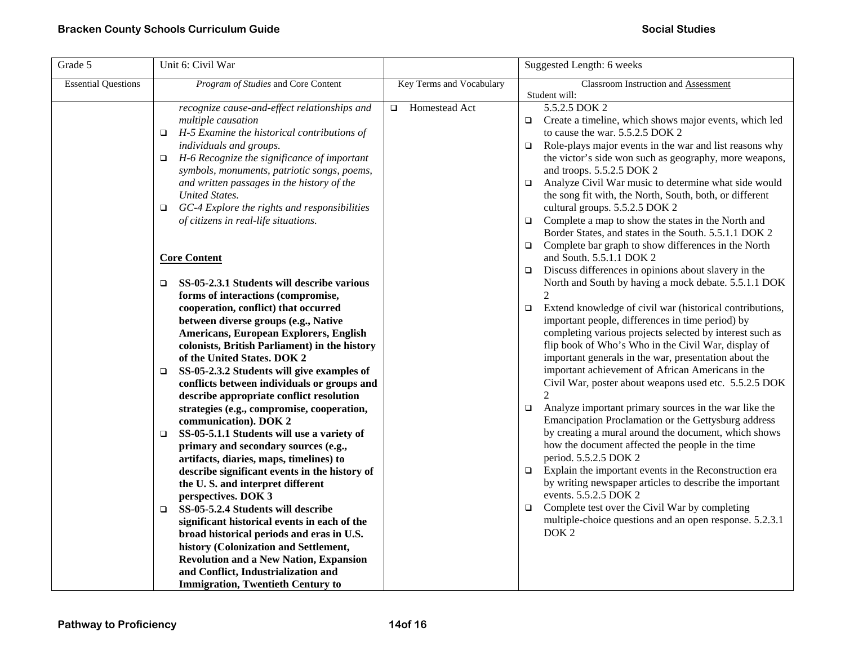| Grade 5                    | Unit 6: Civil War                                                                                                                                                                                                                                                                                                                                                                                                                                                                                                                                                                                                                                                                                                                                                                                                                                                                                                                                                                                                                                                                                                                                                                                                                                                                                                                                  |                          | Suggested Length: 6 weeks                                                                                                                                                                                                                                                                                                                                                                                                                                                                                                                                                                                                                                                                                                                                                                                                                                                                                                                                                                                                                                                                                                                                                                                                                                                                                                                                                                                                                                                                                                                                                                                                                                                                                                                            |
|----------------------------|----------------------------------------------------------------------------------------------------------------------------------------------------------------------------------------------------------------------------------------------------------------------------------------------------------------------------------------------------------------------------------------------------------------------------------------------------------------------------------------------------------------------------------------------------------------------------------------------------------------------------------------------------------------------------------------------------------------------------------------------------------------------------------------------------------------------------------------------------------------------------------------------------------------------------------------------------------------------------------------------------------------------------------------------------------------------------------------------------------------------------------------------------------------------------------------------------------------------------------------------------------------------------------------------------------------------------------------------------|--------------------------|------------------------------------------------------------------------------------------------------------------------------------------------------------------------------------------------------------------------------------------------------------------------------------------------------------------------------------------------------------------------------------------------------------------------------------------------------------------------------------------------------------------------------------------------------------------------------------------------------------------------------------------------------------------------------------------------------------------------------------------------------------------------------------------------------------------------------------------------------------------------------------------------------------------------------------------------------------------------------------------------------------------------------------------------------------------------------------------------------------------------------------------------------------------------------------------------------------------------------------------------------------------------------------------------------------------------------------------------------------------------------------------------------------------------------------------------------------------------------------------------------------------------------------------------------------------------------------------------------------------------------------------------------------------------------------------------------------------------------------------------------|
| <b>Essential Questions</b> | Program of Studies and Core Content                                                                                                                                                                                                                                                                                                                                                                                                                                                                                                                                                                                                                                                                                                                                                                                                                                                                                                                                                                                                                                                                                                                                                                                                                                                                                                                | Key Terms and Vocabulary | Classroom Instruction and Assessment<br>Student will:                                                                                                                                                                                                                                                                                                                                                                                                                                                                                                                                                                                                                                                                                                                                                                                                                                                                                                                                                                                                                                                                                                                                                                                                                                                                                                                                                                                                                                                                                                                                                                                                                                                                                                |
|                            | recognize cause-and-effect relationships and<br>multiple causation<br>H-5 Examine the historical contributions of<br>$\Box$<br>individuals and groups.<br>H-6 Recognize the significance of important<br>$\Box$<br>symbols, monuments, patriotic songs, poems,<br>and written passages in the history of the<br><b>United States.</b><br>GC-4 Explore the rights and responsibilities<br>$\Box$<br>of citizens in real-life situations.<br><b>Core Content</b><br>SS-05-2.3.1 Students will describe various<br>$\Box$<br>forms of interactions (compromise,<br>cooperation, conflict) that occurred<br>between diverse groups (e.g., Native<br>Americans, European Explorers, English<br>colonists, British Parliament) in the history<br>of the United States. DOK 2<br>SS-05-2.3.2 Students will give examples of<br>$\Box$<br>conflicts between individuals or groups and<br>describe appropriate conflict resolution<br>strategies (e.g., compromise, cooperation,<br>communication). DOK 2<br>SS-05-5.1.1 Students will use a variety of<br>□<br>primary and secondary sources (e.g.,<br>artifacts, diaries, maps, timelines) to<br>describe significant events in the history of<br>the U.S. and interpret different<br>perspectives. DOK 3<br>SS-05-5.2.4 Students will describe<br>$\Box$<br>significant historical events in each of the | □ Homestead Act          | 5.5.2.5 DOK 2<br>$\Box$ Create a timeline, which shows major events, which led<br>to cause the war. 5.5.2.5 DOK 2<br>Role-plays major events in the war and list reasons why<br>$\Box$<br>the victor's side won such as geography, more weapons,<br>and troops. 5.5.2.5 DOK 2<br>Analyze Civil War music to determine what side would<br>$\Box$<br>the song fit with, the North, South, both, or different<br>cultural groups. 5.5.2.5 DOK 2<br>Complete a map to show the states in the North and<br>$\Box$<br>Border States, and states in the South. 5.5.1.1 DOK 2<br>Complete bar graph to show differences in the North<br>and South. 5.5.1.1 DOK 2<br>Discuss differences in opinions about slavery in the<br>$\Box$<br>North and South by having a mock debate. 5.5.1.1 DOK<br>Extend knowledge of civil war (historical contributions,<br>$\Box$<br>important people, differences in time period) by<br>completing various projects selected by interest such as<br>flip book of Who's Who in the Civil War, display of<br>important generals in the war, presentation about the<br>important achievement of African Americans in the<br>Civil War, poster about weapons used etc. 5.5.2.5 DOK<br>Analyze important primary sources in the war like the<br>$\Box$<br>Emancipation Proclamation or the Gettysburg address<br>by creating a mural around the document, which shows<br>how the document affected the people in the time<br>period. 5.5.2.5 DOK 2<br>Explain the important events in the Reconstruction era<br>$\Box$<br>by writing newspaper articles to describe the important<br>events. 5.5.2.5 DOK 2<br>Complete test over the Civil War by completing<br>$\Box$<br>multiple-choice questions and an open response. 5.2.3.1 |
|                            | broad historical periods and eras in U.S.<br>history (Colonization and Settlement,<br><b>Revolution and a New Nation, Expansion</b><br>and Conflict, Industrialization and                                                                                                                                                                                                                                                                                                                                                                                                                                                                                                                                                                                                                                                                                                                                                                                                                                                                                                                                                                                                                                                                                                                                                                         |                          | DOK <sub>2</sub>                                                                                                                                                                                                                                                                                                                                                                                                                                                                                                                                                                                                                                                                                                                                                                                                                                                                                                                                                                                                                                                                                                                                                                                                                                                                                                                                                                                                                                                                                                                                                                                                                                                                                                                                     |
|                            | <b>Immigration, Twentieth Century to</b>                                                                                                                                                                                                                                                                                                                                                                                                                                                                                                                                                                                                                                                                                                                                                                                                                                                                                                                                                                                                                                                                                                                                                                                                                                                                                                           |                          |                                                                                                                                                                                                                                                                                                                                                                                                                                                                                                                                                                                                                                                                                                                                                                                                                                                                                                                                                                                                                                                                                                                                                                                                                                                                                                                                                                                                                                                                                                                                                                                                                                                                                                                                                      |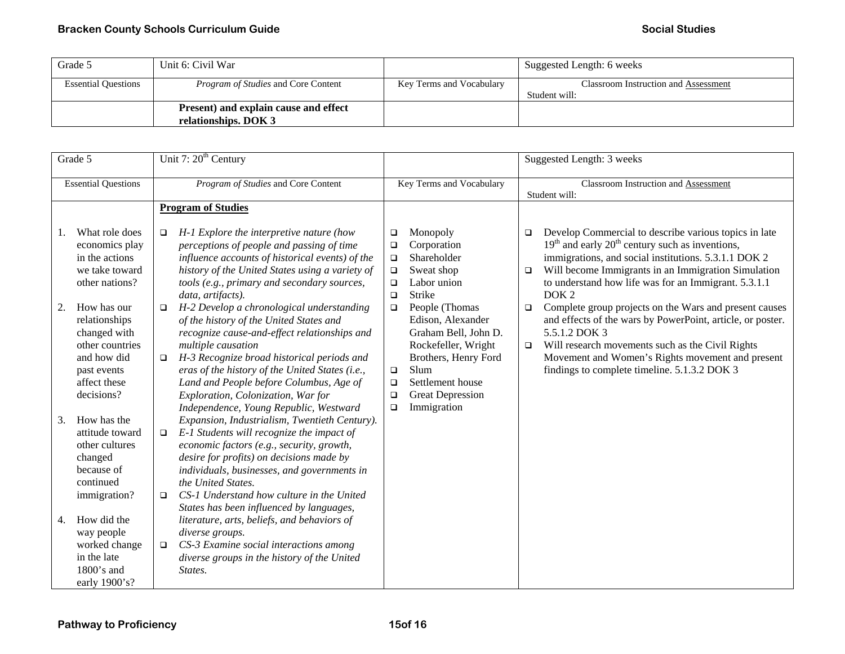| Grade 5                    | Unit 6: Civil War                                             |                          | Suggested Length: 6 weeks                             |
|----------------------------|---------------------------------------------------------------|--------------------------|-------------------------------------------------------|
| <b>Essential Questions</b> | <i>Program of Studies</i> and Core Content                    | Key Terms and Vocabulary | Classroom Instruction and Assessment<br>Student will: |
|                            | Present) and explain cause and effect<br>relationships. DOK 3 |                          |                                                       |

| Grade 5                    |                                                                                                        |                                     | Unit 7: 20 <sup>th</sup> Century                                                                                                                                                                                                                                                                      |                                      |                                                                                                                                     |                                                       | Suggested Length: 3 weeks                                                                                                                                                                                                                                                                                                 |
|----------------------------|--------------------------------------------------------------------------------------------------------|-------------------------------------|-------------------------------------------------------------------------------------------------------------------------------------------------------------------------------------------------------------------------------------------------------------------------------------------------------|--------------------------------------|-------------------------------------------------------------------------------------------------------------------------------------|-------------------------------------------------------|---------------------------------------------------------------------------------------------------------------------------------------------------------------------------------------------------------------------------------------------------------------------------------------------------------------------------|
| <b>Essential Questions</b> |                                                                                                        | Program of Studies and Core Content |                                                                                                                                                                                                                                                                                                       | Key Terms and Vocabulary             |                                                                                                                                     | Classroom Instruction and Assessment<br>Student will: |                                                                                                                                                                                                                                                                                                                           |
| 1.                         | What role does<br>economics play<br>in the actions<br>we take toward                                   | $\Box$                              | <b>Program of Studies</b><br>H-1 Explore the interpretive nature (how<br>perceptions of people and passing of time<br>influence accounts of historical events) of the<br>history of the United States using a variety of                                                                              | $\Box$<br>$\Box$<br>$\Box$<br>$\Box$ | Monopoly<br>Corporation<br>Shareholder<br>Sweat shop                                                                                | □<br>$\Box$                                           | Develop Commercial to describe various topics in late<br>$19th$ and early $20th$ century such as inventions,<br>immigrations, and social institutions. 5.3.1.1 DOK 2<br>Will become Immigrants in an Immigration Simulation                                                                                               |
| 2.                         | other nations?<br>How has our<br>relationships<br>changed with<br>other countries<br>and how did       | $\Box$<br>$\Box$                    | tools (e.g., primary and secondary sources,<br>data, artifacts).<br>H-2 Develop a chronological understanding<br>of the history of the United States and<br>recognize cause-and-effect relationships and<br>multiple causation<br>H-3 Recognize broad historical periods and                          | $\Box$<br>$\Box$<br>$\Box$           | Labor union<br>Strike<br>People (Thomas<br>Edison, Alexander<br>Graham Bell, John D.<br>Rockefeller, Wright<br>Brothers, Henry Ford | $\Box$<br>$\Box$                                      | to understand how life was for an Immigrant. 5.3.1.1<br>DOK <sub>2</sub><br>Complete group projects on the Wars and present causes<br>and effects of the wars by PowerPoint, article, or poster.<br>5.5.1.2 DOK 3<br>Will research movements such as the Civil Rights<br>Movement and Women's Rights movement and present |
|                            | past events<br>affect these<br>decisions?                                                              |                                     | eras of the history of the United States (i.e.,<br>Land and People before Columbus, Age of<br>Exploration, Colonization, War for<br>Independence, Young Republic, Westward                                                                                                                            | $\Box$<br>$\Box$<br>$\Box$<br>$\Box$ | Slum<br>Settlement house<br><b>Great Depression</b><br>Immigration                                                                  |                                                       | findings to complete timeline. 5.1.3.2 DOK 3                                                                                                                                                                                                                                                                              |
| 3.                         | How has the<br>attitude toward<br>other cultures<br>changed<br>because of<br>continued<br>immigration? | $\Box$<br>$\Box$                    | Expansion, Industrialism, Twentieth Century).<br>E-1 Students will recognize the impact of<br>economic factors (e.g., security, growth,<br>desire for profits) on decisions made by<br>individuals, businesses, and governments in<br>the United States.<br>CS-1 Understand how culture in the United |                                      |                                                                                                                                     |                                                       |                                                                                                                                                                                                                                                                                                                           |
| 4.                         | How did the<br>way people<br>worked change<br>in the late<br>$1800$ 's and<br>early 1900's?            | □                                   | States has been influenced by languages,<br>literature, arts, beliefs, and behaviors of<br>diverse groups.<br>CS-3 Examine social interactions among<br>diverse groups in the history of the United<br>States.                                                                                        |                                      |                                                                                                                                     |                                                       |                                                                                                                                                                                                                                                                                                                           |